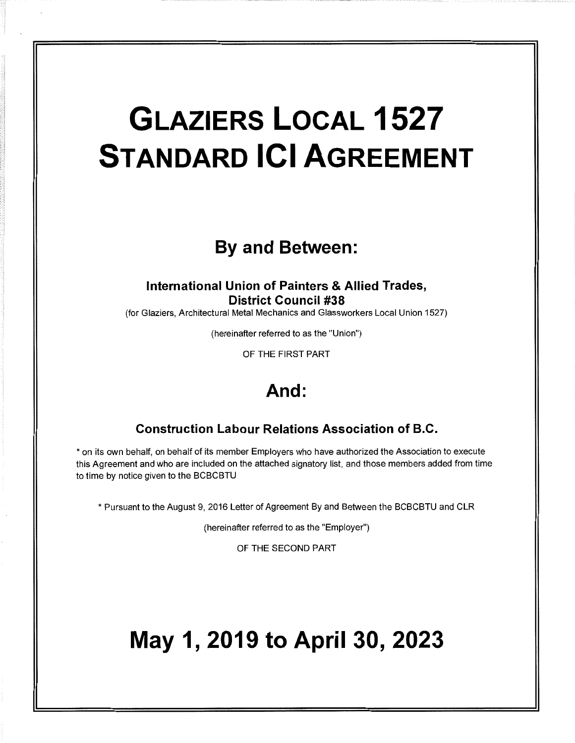# **GLAZIERS LOCAL 1527 STANDARD ICI AGREEMENT**

## **By and Between:**

## **International Union of Painters & Allied Trades, District Council #38**

(for Glaziers, Architectural Metal Mechanics and Glassworkers Local Union 1527)

(hereinafter referred to as the "Union")

OF THE FIRST PART

## **And:**

## **Construction Labour Relations Association of B.C.**

\* on its own behalf, on behalf of its member Employers who have authorized the Association to execute this Agreement and who are included on the attached signatory list, and those members added from time to time by notice given to the BCBCBTU

\*Pursuant to the August 9, 2016 Letter of Agreement By and Between the BCBCBTU and CLR

(hereinafter referred to as the "Employer")

OF THE SECOND PART

## **May 1, 2019 to April 30, 2023**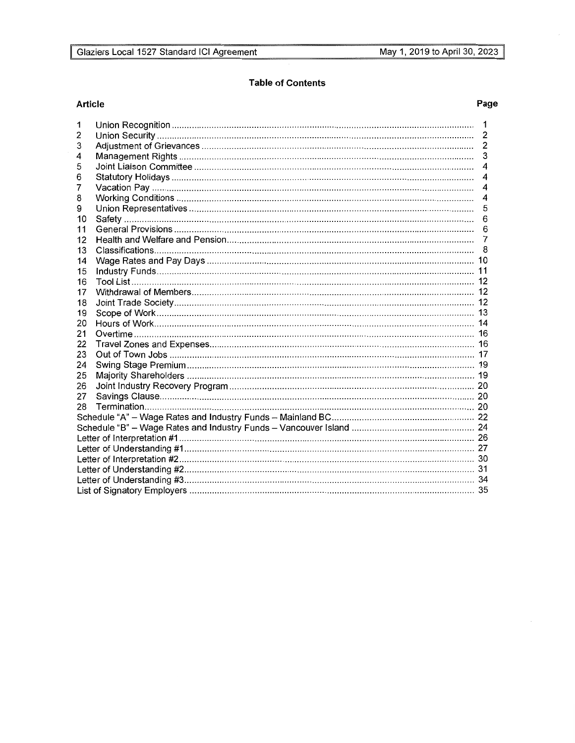## **Table of Contents**

## Article

## Page

| 1  |  | $\mathbf 1$              |  |  |  |  |
|----|--|--------------------------|--|--|--|--|
| 2  |  |                          |  |  |  |  |
| 3  |  | $\overline{2}$           |  |  |  |  |
| 4  |  | 3                        |  |  |  |  |
| 5  |  | $\overline{\mathcal{A}}$ |  |  |  |  |
| 6  |  | 4                        |  |  |  |  |
| 7  |  | 4                        |  |  |  |  |
| 8  |  | $\overline{4}$           |  |  |  |  |
| 9  |  | 5                        |  |  |  |  |
| 10 |  | 6                        |  |  |  |  |
| 11 |  | 6                        |  |  |  |  |
| 12 |  |                          |  |  |  |  |
| 13 |  |                          |  |  |  |  |
| 14 |  |                          |  |  |  |  |
| 15 |  |                          |  |  |  |  |
| 16 |  |                          |  |  |  |  |
| 17 |  |                          |  |  |  |  |
| 18 |  |                          |  |  |  |  |
| 19 |  |                          |  |  |  |  |
| 20 |  |                          |  |  |  |  |
| 21 |  |                          |  |  |  |  |
| 22 |  |                          |  |  |  |  |
| 23 |  |                          |  |  |  |  |
| 24 |  |                          |  |  |  |  |
| 25 |  |                          |  |  |  |  |
| 26 |  |                          |  |  |  |  |
| 27 |  |                          |  |  |  |  |
| 28 |  |                          |  |  |  |  |
|    |  |                          |  |  |  |  |
|    |  |                          |  |  |  |  |
|    |  |                          |  |  |  |  |
|    |  |                          |  |  |  |  |
|    |  |                          |  |  |  |  |
|    |  |                          |  |  |  |  |
|    |  |                          |  |  |  |  |
|    |  |                          |  |  |  |  |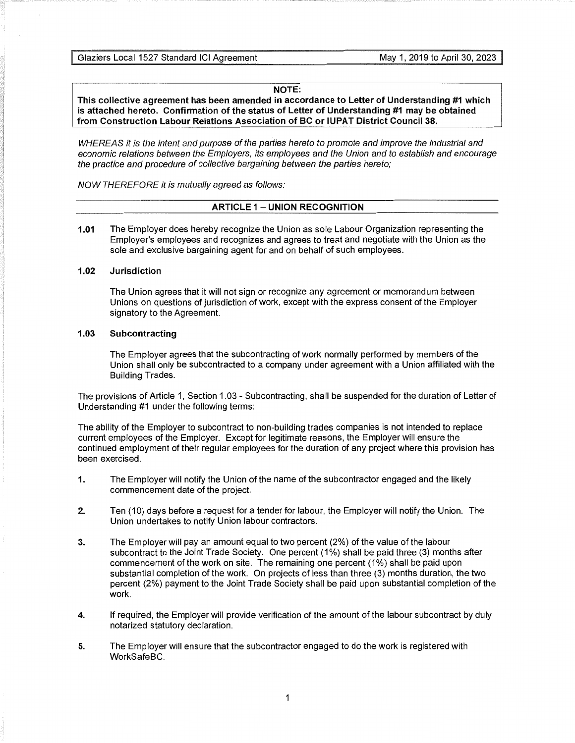## **NOTE:**

**This collective agreement has been amended in accordance to Letter of Understanding #1 which is attached hereto. Confirmation of the status of Letter of Understanding #1 may be obtained from Construction Labour Relations Association of BC or IUPAT District Council 38.** 

WHEREAS it is the intent and purpose of the parties hereto to promote and improve the industrial and economic relations between the Employers, its employees and the Union and to establish and encourage the practice and procedure of collective bargaining between the parties hereto;

NOW THEREFORE it is mutually agreed as follows:

## **ARTICLE 1 - UNION RECOGNITION**

**1.01** The Employer does hereby recognize the Union as sole Labour Organization representing the Employer's employees and recognizes and agrees to treat and negotiate with the Union as the sole and exclusive bargaining agent for and on behalf of such employees.

## **1.02 Jurisdiction**

The Union agrees that it will not sign or recognize any agreement or memorandum between Unions on questions of jurisdiction of work, except with the express consent of the Employer signatory to the Agreement.

## **1.03 Subcontracting**

The Employer agrees that the subcontracting of work normally performed by members of the Union shall only be subcontracted to a company under agreement with a Union affiliated with the Building Trades.

The provisions of Article 1, Section 1.03 - Subcontracting, shall be suspended for the duration of Letter of Understanding #1 under the following terms:

The ability of the Employer to subcontract to non-building trades companies is not intended to replace current employees of the Employer. Except for legitimate reasons, the Employer will ensure the continued employment of their regular employees for the duration of any project where this provision has been exercised.

- **1.** The Employer will notify the Union of the name of the subcontractor engaged and the likely commencement date of the project.
- **2.** Ten (10) days before a request for a tender for labour, the Employer will notify the Union. The Union undertakes to notify Union labour contractors.
- **3.** The Employer will pay an amount equal to two percent (2%) of the value of the labour subcontract to the Joint Trade Society. One percent (1%) shall be paid three (3) months after commencement of the work on site. The remaining one percent (1%) shall be paid upon substantial completion of the work. On projects of less than three (3) months duration, the two percent (2%) payment to the Joint Trade Society shall be paid upon substantial completion of the work.
- **4.** If required, the Employer will provide verification of the amount of the labour subcontract by duly notarized statutory declaration.
- **5.** The Employer will ensure that the subcontractor engaged to do the work is registered with WorkSafeBC.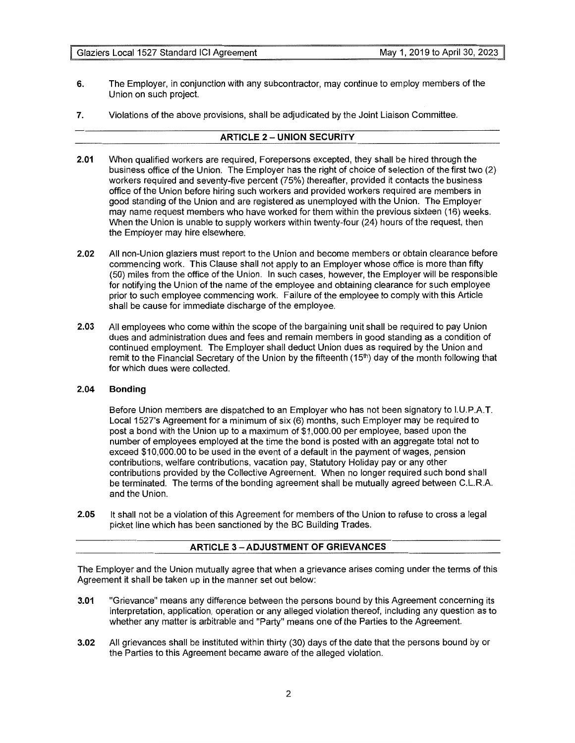- **6.** The Employer, in conjunction with any subcontractor, may continue to employ members of the Union on such project.
- **7.** Violations of the above provisions, shall be adjudicated by the Joint Liaison Committee.

## **ARTICLE 2 - UNION SECURITY**

- **2.01** When qualified workers are required, Forepersons excepted, they shall be hired through the business office of the Union. The Employer has the right of choice of selection of the first two (2) workers required and seventy-five percent (75%) thereafter, provided it contacts the business office of the Union before hiring such workers and provided workers required are members in good standing of the Union and are registered as unemployed with the Union. The Employer may name request members who have worked for them within the previous sixteen (16) weeks. When the Union is unable to supply workers within twenty-four (24) hours of the request, then the Employer may hire elsewhere.
- **2.02** All non-Union glaziers must report to the Union and become members or obtain clearance before commencing work. This Clause shall not apply to an Employer whose office is more than fifty (50) miles from the office of the Union. In such cases, however, the Employer will be responsible for notifying the Union of the name of the employee and obtaining clearance for such employee prior to such employee commencing work. Failure of the employee to comply with this Article shall be cause for immediate discharge of the employee.
- **2.03** All employees who come within the scope of the bargaining unit shall be required to pay Union dues and administration dues and fees and remain members in good standing as a condition of continued employment. The Employer shall deduct Union dues as required by the Union and remit to the Financial Secretary of the Union by the fifteenth (15<sup>th</sup>) day of the month following that for which dues were collected.

## **2.04 Bonding**

Before Union members are dispatched to an Employer who has not been signatory to l.U.P.A.T. Local 1527's Agreement for a minimum of six (6) months, such Employer may be required to post a bond with the Union up to a maximum of \$1,000.00 per employee, based upon the number of employees employed at the time the bond is posted with an aggregate total not to exceed \$10,000.00 to be used in the event of a default in the payment of wages, pension contributions, welfare contributions, vacation pay, Statutory Holiday pay or any other contributions provided by the Collective Agreement. When no longer required such bond shall be terminated. The terms of the bonding agreement shall be mutually agreed between C.L.R.A. and the Union.

**2.05** It shall not be a violation of this Agreement for members of the Union to refuse to cross a legal picket line which has been sanctioned by the BC Building Trades.

## **ARTICLE 3 -ADJUSTMENT OF GRIEVANCES**

The Employer and the Union mutually agree that when a grievance arises coming under the terms of this Agreement it shall be taken up in the manner set out below:

- **3.01** "Grievance" means any difference between the persons bound by this Agreement concerning its interpretation, application, operation or any alleged violation thereof, including any question as to whether any matter is arbitrable and "Party" means one of the Parties to the Agreement.
- **3.02** All grievances shall be instituted within thirty (30) days of the date that the persons bound by or the Parties to this Agreement became aware of the alleged violation.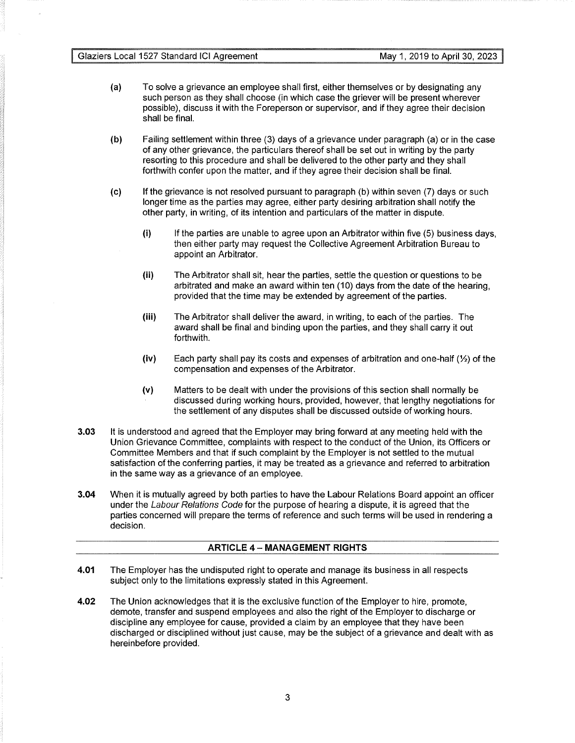- (a) To solve a grievance an employee shall first, either themselves or by designating any such person as they shall choose (in which case the griever will be present wherever possible), discuss it with the Foreperson or supervisor, and if they agree their decision shall be final.
- **(b)** Failing settlement within three (3) days of a grievance under paragraph (a) or in the case of any other grievance, the particulars thereof shall be set out in writing by the party resorting to this procedure and shall be delivered to the other party and they shall forthwith confer upon the matter, and if they agree their decision shall be final.
- (c) If the grievance is not resolved pursuant to paragraph (b) within seven (7) days or such longer time as the parties may agree, either party desiring arbitration shall notify the other party, in writing, of its intention and particulars of the matter in dispute.
	- $(i)$  If the parties are unable to agree upon an Arbitrator within five  $(5)$  business days, then either party may request the Collective Agreement Arbitration Bureau to appoint an Arbitrator.
	- (ii) The Arbitrator shall sit, hear the parties, settle the question or questions to be arbitrated and make an award within ten (10) days from the date of the hearing, provided that the time may be extended by agreement of the parties.
	- **(iii)** The Arbitrator shall deliver the award, in writing, to each of the parties. The award shall be final and binding upon the parties, and they shall carry it out forthwith.
	- $(iv)$  Each party shall pay its costs and expenses of arbitration and one-half  $\langle \frac{1}{2} \rangle$  of the compensation and expenses of the Arbitrator.
	- (v) Matters to be dealt with under the provisions of this section shall normally be discussed during working hours, provided, however, that lengthy negotiations for the settlement of any disputes shall be discussed outside of working hours.
- **3.03** It is understood and agreed that the Employer may bring forward at any meeting held with the Union Grievance Committee, complaints with respect to the conduct of the Union, its Officers or Committee Members and that if such complaint by the Employer is not settled to the mutual satisfaction of the conferring parties, it may be treated as a grievance and referred to arbitration in the same way as a grievance of an employee.
- **3.04** When it is mutually agreed by both parties to have the Labour Relations Board appoint an officer under the Labour Relations Code for the purpose of hearing a dispute, it is agreed that the parties concerned will prepare the terms of reference and such terms will be used in rendering a decision.

## **ARTICLE 4 - MANAGEMENT RIGHTS**

- **4.01** The Employer has the undisputed right to operate and manage its business in all respects subject only to the limitations expressly stated in this Agreement.
- **4.02** The Union acknowledges that it is the exclusive function of the Employer to hire, promote, demote, transfer and suspend employees and also the right of the Employer to discharge or discipline any employee for cause, provided a claim by an employee that they have been discharged or disciplined without just cause, may be the subject of a grievance and dealt with as hereinbefore provided.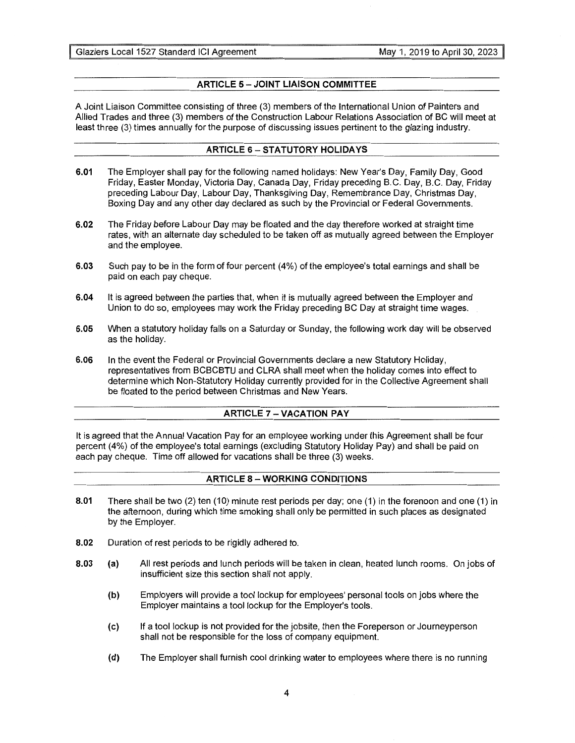## **ARTICLE 5 - JOINT LIAISON COMMITTEE**

A Joint Liaison Committee consisting of three (3) members of the International Union of Painters and Allied Trades and three (3) members of the Construction Labour Relations Association of BC will meet at least three (3) times annually for the purpose of discussing issues pertinent to the glazing industry.

## **ARTICLE 6-STATUTORY HOLIDAYS**

- **6.01** The Employer shall pay for the following named holidays: New Year's Day, Family Day, Good Friday, Easter Monday, Victoria Day, Canada Day, Friday preceding B.C. Day, B.C. Day, Friday preceding Labour Day, Labour Day, Thanksgiving Day, Remembrance Day, Christmas Day, Boxing Day and any other day declared as such by the Provincial or Federal Governments.
- **6.02** The Friday before Labour Day may be floated and the day therefore worked at straight time rates, with an alternate day scheduled to be taken off as mutually agreed between the Employer and the employee.
- **6.03** Such pay to be in the form of four percent (4%) of the employee's total earnings and shall be paid on each pay cheque.
- **6.04** It is agreed between the parties that, when it is mutually agreed between the Employer and Union to do so, employees may work the Friday preceding BC Day at straight time wages.
- **6.05** When a statutory holiday falls on a Saturday or Sunday, the following work day will be observed as the holiday.
- **6.06** In the event the Federal or Provincial Governments declare a new Statutory Holiday, representatives from BCBCBTU and CLRA shall meet when the holiday comes into effect to determine which Non-Statutory Holiday currently provided for in the Collective Agreement shall be floated to the period between Christmas and New Years.

## **ARTICLE 7 -VACATION PAY**

It is agreed that the Annual Vacation Pay for an employee working under this Agreement shall be four percent (4%) of the employee's total earnings (excluding Statutory Holiday Pay) and shall be paid on each pay cheque. Time off allowed for vacations shall be three (3) weeks.

## **ARTICLE** 8 - **WORKING CONDITIONS**

- **8.01** There shall be two (2) ten (10) minute rest periods per day; one (1) in the forenoon and one (1) in the afternoon, during which time smoking shall only be permitted in such places as designated by the Employer.
- **8.02** Duration of rest periods to be rigidly adhered to.
- **8.03** (a) All rest periods and lunch periods will be taken in clean, heated lunch rooms. On jobs of insufficient size this section shall not apply.
	- **(b)** Employers will provide a tool lockup for employees' personal tools on jobs where the Employer maintains a tool lockup for the Employer's tools.
	- (c) If a tool lockup is not provided for the jobsite, then the Foreperson or Journeyperson shall not be responsible for the loss of company equipment.
	- **(d)** The Employer shall furnish cool drinking water to employees where there is no running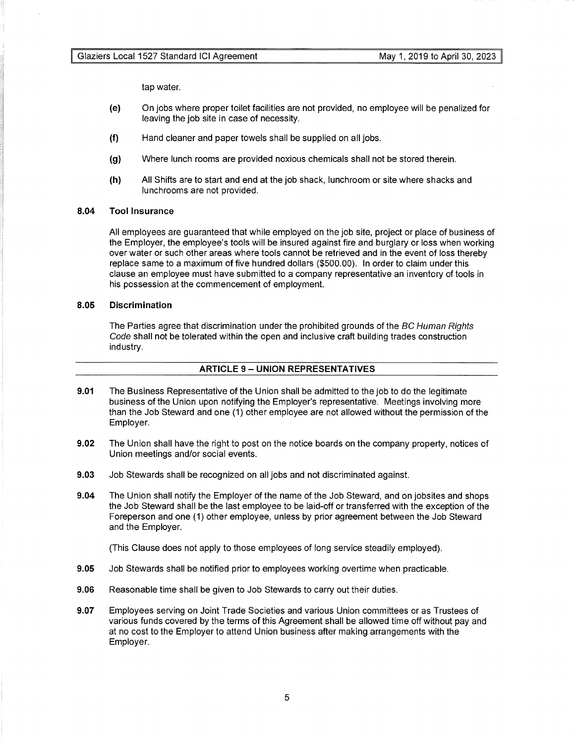tap water.

- (e) On jobs where proper toilet facilities are not provided, no employee will be penalized for leaving the job site in case of necessity.
- **(f)** Hand cleaner and paper towels shall be supplied on all jobs.
- **(g)** Where lunch rooms are provided noxious chemicals shall not be stored therein.
- **(h)** All Shifts are to start and end at the job shack, lunchroom or site where shacks and lunchrooms are not provided.

## **8.04 Tool Insurance**

All employees are guaranteed that while employed on the job site, project or place of business of the Employer, the employee's tools will be insured against fire and burglary or loss when working over water or such other areas where tools cannot be retrieved and in the event of loss thereby replace same to a maximum of five hundred dollars (\$500.00). In order to claim under this clause an employee must have submitted to a company representative an inventory of tools in his possession at the commencement of employment.

## **8.05 Discrimination**

The Parties agree that discrimination under the prohibited grounds of the BC Human Rights Code shall not be tolerated within the open and inclusive craft building trades construction industry.

## **ARTICLE 9- UNION REPRESENTATIVES**

- **9.01** The Business Representative of the Union shall be admitted to the job to do the legitimate business of the Union upon notifying the Employer's representative. Meetings involving more than the Job Steward and one (1) other employee are not allowed without the permission of the Employer.
- **9.02** The Union shall have the right to post on the notice boards on the company property, notices of Union meetings and/or social events.
- **9.03** Job Stewards shall be recognized on all jobs and not discriminated against.
- **9.04** The Union shall notify the Employer of the name of the Job Steward, and on jobsites and shops the Job Steward shall be the last employee to be laid-off or transferred with the exception of the Foreperson and one (1) other employee, unless by prior agreement between the Job Steward and the Employer.

(This Clause does not apply to those employees of long service steadily employed).

- **9.05** Job Stewards shall be notified prior to employees working overtime when practicable.
- **9.06** Reasonable time shall be given to Job Stewards to carry out their duties.
- **9.07** Employees serving on Joint Trade Societies and various Union committees or as Trustees of various funds covered by the terms of this Agreement shall be allowed time off without pay and at no cost to the Employer to attend Union business after making arrangements with the Employer.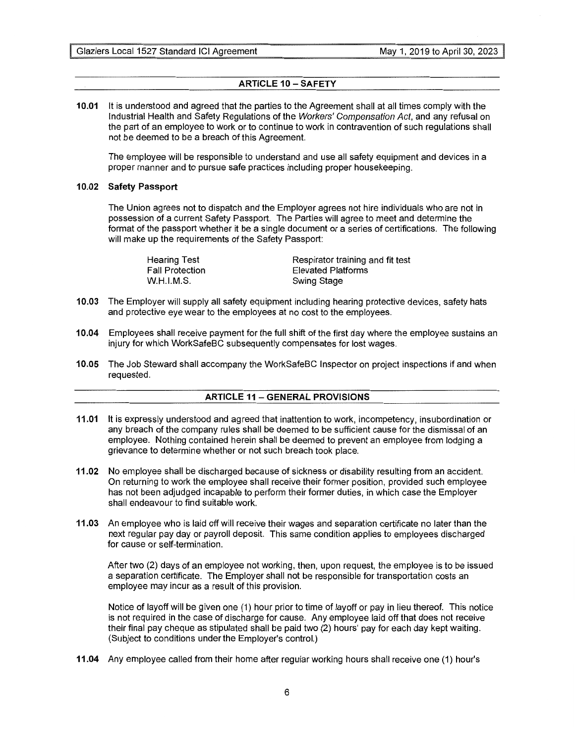## **ARTICLE 10 - SAFETY**

**10.01** It is understood and agreed that the parties to the Agreement shall at all times comply with the Industrial Health and Safety Regulations of the Workers' Compensation Act, and any refusal on the part of an employee to work or to continue to work in contravention of such regulations shall not be deemed to be a breach of this Agreement.

The employee will be responsible to understand and use all safety equipment and devices in a proper manner and to pursue safe practices including proper housekeeping.

## **10.02 Safety Passport**

The Union agrees not to dispatch and the Employer agrees not hire individuals who are not in possession of a current Safety Passport. The Parties will agree to meet and determine the format of the passport whether it be a single document or a series of certifications. The following will make up the requirements of the Safety Passport:

| Hearing Test    | Respirator training and fit test |
|-----------------|----------------------------------|
| Fall Protection | Elevated Platforms               |
| W.H.I.M.S.      | Swing Stage                      |

- **10.03** The Employer will supply all safety equipment including hearing protective devices, safety hats and protective eye wear to the employees at no cost to the employees.
- **10.04** Employees shall receive payment for the full shift of the first day where the employee sustains an injury for which WorkSafeBC subsequently compensates for lost wages.
- **10.05** The Job Steward shall accompany the WorkSafeBC Inspector on project inspections if and when requested.

## **ARTICLE 11 - GENERAL PROVISIONS**

- **11.01** It is expressly understood and agreed that inattention to work, incompetency, insubordination or any breach of the company rules shall be deemed to be sufficient cause for the dismissal of an employee. Nothing contained herein shall be deemed to prevent an employee from lodging a grievance to determine whether or not such breach took place.
- **11.02** No employee shall be discharged because of sickness or disability resulting from an accident. On returning to work the employee shall receive their former position, provided such employee has not been adjudged incapable to perform their former duties, in which case the Employer shall endeavour to find suitable work.
- **11.03** An employee who is laid off will receive their wages and separation certificate no later than the next regular pay day or payroll deposit. This same condition applies to employees discharged for cause or self-termination.

After two (2) days of an employee not working, then, upon request, the employee is to be issued a separation certificate. The Employer shall not be responsible for transportation costs an employee may incur as a result of this provision.

Notice of layoff will be given one (1) hour prior to time of layoff or pay in lieu thereof. This notice is not required in the case of discharge for cause. Any employee laid off that does not receive their final pay cheque as stipulated shall be paid two (2) hours' pay for each day kept waiting. (Subject to conditions under the Employer's control.)

**11.04** Any employee called from their home after regular working hours shall receive one (1) hour's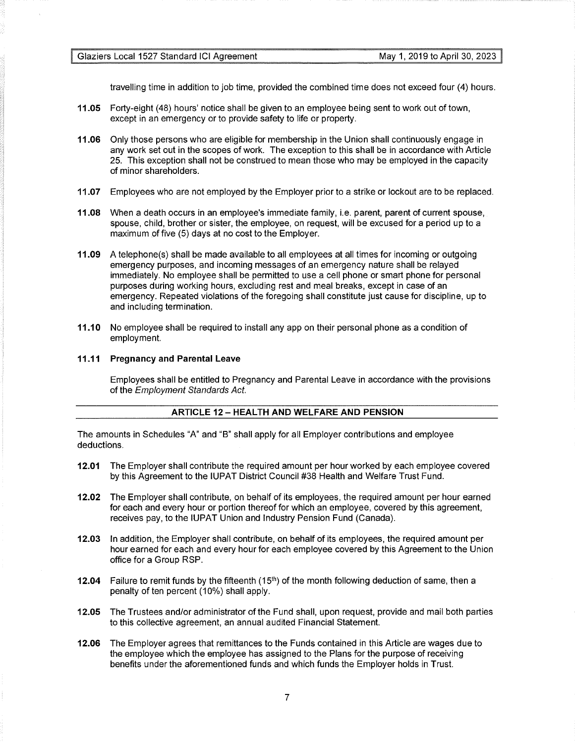travelling time in addition to job time, provided the combined time does not exceed four (4) hours.

- **11.05** Forty-eight (48) hours' notice shall be given to an employee being sent to work out of town, except in an emergency or to provide safety to life or property.
- **11.06** Only those persons who are eligible for membership in the Union shall continuously engage in any work set out in the scopes of work. The exception to this shall be in accordance with Article 25. This exception shall not be construed to mean those who may be employed in the capacity of minor shareholders.
- **11.07** Employees who are not employed by the Employer prior to a strike or lockout are to be replaced.
- **11.08** When a death occurs in an employee's immediate family, i.e. parent, parent of current spouse, spouse, child, brother or sister, the employee, on request, will be excused for a period up to a maximum of five (5) days at no cost to the Employer.
- **11.09** A telephone(s) shall be made available to all employees at all times for incoming or outgoing emergency purposes, and incoming messages of an emergency nature shall be relayed immediately. No employee shall be permitted to use a cell phone or smart phone for personal purposes during working hours, excluding rest and meal breaks, except in case of an emergency. Repeated violations of the foregoing shall constitute just cause for discipline, up to and including termination.
- **11.10** No employee shall be required to install any app on their personal phone as a condition of employment.

## **11.11 Pregnancy and Parental Leave**

Employees shall be entitled to Pregnancy and Parental Leave in accordance with the provisions of the Employment Standards Act.

## **ARTICLE 12 - HEALTH AND WELFARE AND PENSION**

The amounts in Schedules "A" and "B" shall apply for all Employer contributions and employee deductions.

- **12.01** The Employer shall contribute the required amount per hour worked by each employee covered by this Agreement to the IUPAT District Council #38 Health and Welfare Trust Fund.
- **12.02** The Employer shall contribute, on behalf of its employees, the required amount per hour earned for each and every hour or portion thereof for which an employee, covered by this agreement, receives pay, to the IUPAT Union and Industry Pension Fund (Canada).
- **12.03** In addition, the Employer shall contribute, on behalf of its employees, the required amount per hour earned for each and every hour for each employee covered by this Agreement to the Union office for a Group RSP.
- **12.04** Failure to remit funds by the fifteenth (15th) of the month following deduction of same, then a penalty of ten percent (10%) shall apply.
- **12.05** The Trustees and/or administrator of the Fund shall, upon request, provide and mail both parties to this collective agreement, an annual audited Financial Statement.
- **12.06** The Employer agrees that remittances to the Funds contained in this Article are wages due to the employee which the employee has assigned to the Plans for the purpose of receiving benefits under the aforementioned funds and which funds the Employer holds in Trust.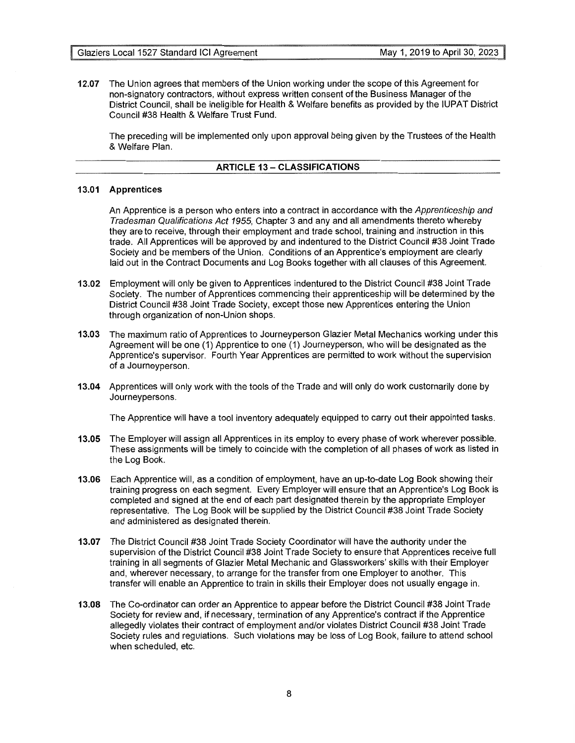**12.07** The Union agrees that members of the Union working under the scope of this Agreement for non-signatory contractors, without express written consent of the Business Manager of the District Council, shall be ineligible for Health & Welfare benefits as provided by the IUPAT District Council #38 Health & Welfare Trust Fund.

The preceding will be implemented only upon approval being given by the Trustees of the Health & Welfare Plan.

## **ARTICLE 13- CLASSIFICATIONS**

## **13.01 Apprentices**

An Apprentice is a person who enters into a contract in accordance with the Apprenticeship and Tradesman Qualifications Act 1955, Chapter 3 and any and all amendments thereto whereby they are to receive, through their employment and trade school, training and instruction in this trade. All Apprentices will be approved by and indentured to the District Council #38 Joint Trade Society and be members of the Union. Conditions of an Apprentice's employment are clearly laid out in the Contract Documents and Log Books together with all clauses of this Agreement.

- **13.02** Employment will only be given to Apprentices indentured to the District Council #38 Joint Trade Society. The number of Apprentices commencing their apprenticeship will be determined by the District Council #38 Joint Trade Society, except those new Apprentices entering the Union through organization of non-Union shops.
- **13.03** The maximum ratio of Apprentices to Journeyperson Glazier Metal Mechanics working under this Agreement will be one (1) Apprentice to one (1) Journeyperson, who will be designated as the Apprentice's supervisor. Fourth Year Apprentices are permitted to work without the supervision of a Journeyperson.
- **13.04** Apprentices will only work with the tools of the Trade and will only do work customarily done by Journeypersons.

The Apprentice will have a tool inventory adequately equipped to carry out their appointed tasks.

- **13.05** The Employer will assign all Apprentices in its employ to every phase of work wherever possible. These assignments will be timely to coincide with the completion of all phases of work as listed in the Log Book.
- **13.06** Each Apprentice will, as a condition of employment, have an up-to-date Log Book showing their training progress on each segment. Every Employer will ensure that an Apprentice's Log Book is completed and signed at the end of each part designated therein by the appropriate Employer representative. The Log Book will be supplied by the District Council #38 Joint Trade Society and administered as designated therein.
- **13.07** The District Council #38 Joint Trade Society Coordinator will have the authority under the supervision of the District Council #38 Joint Trade Society to ensure that Apprentices receive full training in all segments of Glazier Metal Mechanic and Glassworkers' skills with their Employer and, wherever necessary, to arrange for the transfer from one Employer to another. This transfer will enable an Apprentice to train in skills their Employer does not usually engage in.
- **13.08** The Co-ordinator can order an Apprentice to appear before the District Council #38 Joint Trade Society for review and, if necessary, termination of any Apprentice's contract if the Apprentice allegedly violates their contract of employment and/or violates District Council #38 Joint Trade Society rules and regulations. Such violations may be loss of Log Book, failure to attend school when scheduled, etc.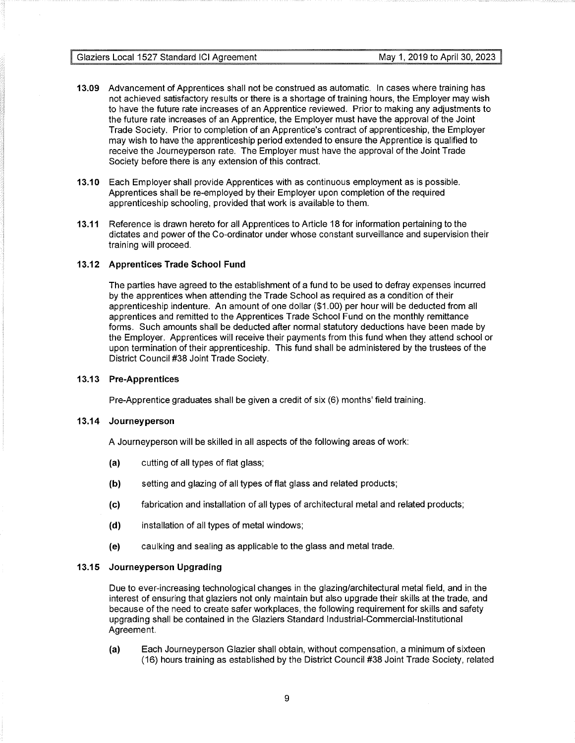- **13.09** Advancement of Apprentices shall not be construed as automatic. In cases where training has not achieved satisfactory results or there is a shortage of training hours, the Employer may wish to have the future rate increases of an Apprentice reviewed. Prior to making any adjustments to the future rate increases of an Apprentice, the Employer must have the approval of the Joint Trade Society. Prior to completion of an Apprentice's contract of apprenticeship, the Employer may wish to have the apprenticeship period extended to ensure the Apprentice is qualified to receive the Journeyperson rate. The Employer must have the approval of the Joint Trade Society before there is any extension of this contract.
- **13.10** Each Employer shall provide Apprentices with as continuous employment as is possible. Apprentices shall be re-employed by their Employer upon completion of the required apprenticeship schooling, provided that work is available to them.
- **13.11** Reference is drawn hereto for all Apprentices to Article 18 for information pertaining to the dictates and power of the Co-ordinator under whose constant surveillance and supervision their training will proceed.

## **13.12 Apprentices Trade School Fund**

The parties have agreed to the establishment of a fund to be used to defray expenses incurred by the apprentices when attending the Trade School as required as a condition of their apprenticeship indenture. An amount of one dollar (\$1.00) per hour will be deducted from all apprentices and remitted to the Apprentices Trade School Fund on the monthly remittance forms. Such amounts shall be deducted after normal statutory deductions have been made by the Employer. Apprentices will receive their payments from this fund when they attend school or upon termination of their apprenticeship. This fund shall be administered by the trustees of the District Council #38 Joint Trade Society.

## **13.13 Pre-Apprentices**

Pre-Apprentice graduates shall be given a credit of six (6) months' field training.

## **13.14 Journeyperson**

A Journeyperson will be skilled in all aspects of the following areas of work:

- (a) cutting of all types of flat glass;
- **(b)** setting and glazing of all types of flat glass and related products;
- (c) fabrication and installation of all types of architectural metal and related products;
- **(d)** installation of all types of metal windows;
- (e) caulking and sealing as applicable to the glass and metal trade.

## **13.15 Journeyperson Upgrading**

Due to ever-increasing technological changes in the glazing/architectural metal field, and in the interest of ensuring that glaziers not only maintain but also upgrade their skills at the trade, and because of the need to create safer workplaces, the following requirement for skills and safety upgrading shall be contained in the Glaziers Standard Industrial-Commercial-Institutional Agreement.

(a) Each Journeyperson Glazier shall obtain, without compensation, a minimum of sixteen (16) hours training as established by the District Council #38 Joint Trade Society, related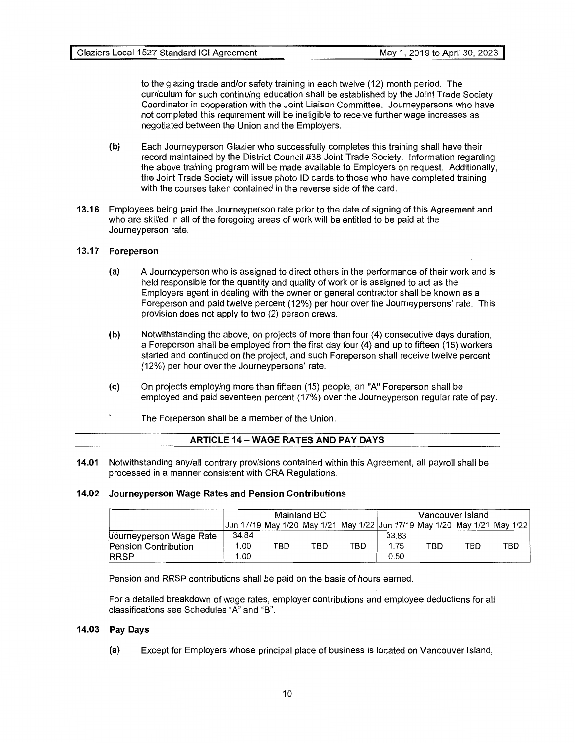to the glazing trade and/or safety training in each twelve (12) month period. The curriculum for such continuing education shall be established by the Joint Trade Society Coordinator in cooperation with the Joint Liaison Committee. Journeypersons who have not completed this requirement will be ineligible to receive further wage increases as negotiated between the Union and the Employers.

- **(b)** Each Journeyperson Glazier who successfully completes this training shall have their record maintained by the District Council #38 Joint Trade Society. Information regarding the above training program will be made available to Employers on request. Additionally, the Joint Trade Society will issue photo ID cards to those who have completed training with the courses taken contained in the reverse side of the card.
- **13.16** Employees being paid the Journeyperson rate prior to the date of signing of this Agreement and who are skilled in all of the foregoing areas of work will be entitled to be paid at the Journeyperson rate.

## **13.17 Foreperson**

- (a) A Journeyperson who is assigned to direct others in the performance of their work and is held responsible for the quantity and quality of work or is assigned to act as the Employers agent in dealing with the owner or general contractor shall be known as a Foreperson and paid twelve percent (12%) per hour over the Journeypersons' rate. This provision does not apply to two (2) person crews.
- **(b)** Notwithstanding the above, on projects of more than four (4) consecutive days duration, a Foreperson shall be employed from the first day four (4) and up to fifteen (15) workers started and continued on the project, and such Foreperson shall receive twelve percent (12%) per hour over the Journeypersons' rate.
- (c) On projects employing more than fifteen (15) people, an "A" Foreperson shall be employed and paid seventeen percent (17%) over the Journeyperson regular rate of pay.
	- The Foreperson shall be a member of the Union.

| <b>ARTICLE 14 – WAGE RATES AND PAY DAYS</b> |
|---------------------------------------------|
|---------------------------------------------|

**14.01** Notwithstanding any/all contrary provisions contained within this Agreement, all payroll shall be processed in a manner consistent with CRA Regulations.

## **14.02 Journeyperson Wage Rates and Pension Contributions**

|                             | Mainland BC                                                               |     |     |     | Vancouver Island |     |     |     |
|-----------------------------|---------------------------------------------------------------------------|-----|-----|-----|------------------|-----|-----|-----|
|                             | Jun 17/19 May 1/20 May 1/21 May 1/22 Jun 17/19 May 1/20 May 1/21 May 1/22 |     |     |     |                  |     |     |     |
| Journeyperson Wage Rate     | 34.84                                                                     |     |     |     | 33.83            |     |     |     |
| <b>Pension Contribution</b> | 1.00                                                                      | TBD | TBD | TBD | 1.75             | TBD | TBD | TBD |
| <b>RRSP</b>                 | 1.00                                                                      |     |     |     | 0.50             |     |     |     |

Pension and RRSP contributions shall be paid on the basis of hours earned.

For a detailed breakdown of wage rates, employer contributions and employee deductions for all classifications see Schedules "A" and "B".

## **14.03 Pay Days**

(a) Except for Employers whose principal place of business is located on Vancouver Island,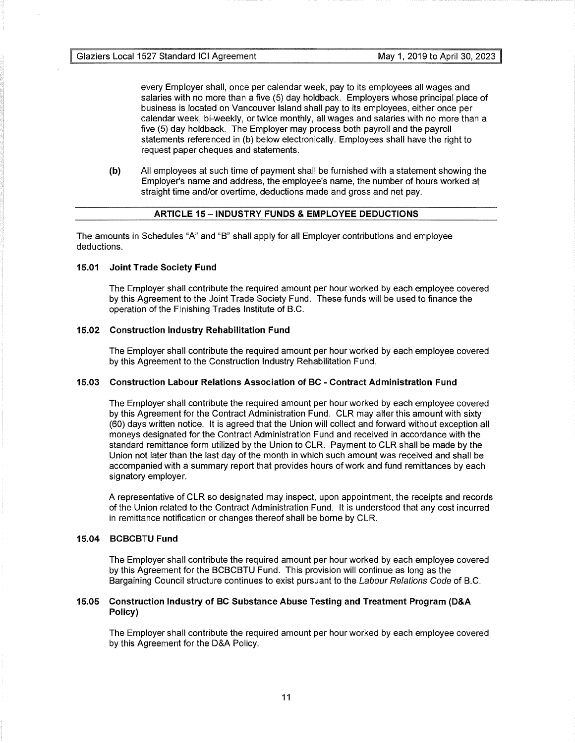every Employer shall, once per calendar week, pay to its employees all wages and salaries with no more than a five (5) day holdback. Employers whose principal place of business is located on Vancouver Island shall pay to its employees, either once per calendar week, bi-weekly, or twice monthly, all wages and salaries with no more than a five (5) day holdback. The Employer may process both payroll and the payroll statements referenced in (b) below electronically. Employees shall have the right to request paper cheques and statements.

**(b)** All employees at such time of payment shall be furnished with a statement showing the Employer's name and address, the employee's name, the number of hours worked at straight time and/or overtime, deductions made and gross and net pay.

## **ARTICLE 15 - INDUSTRY FUNDS & EMPLOYEE DEDUCTIONS**

The amounts in Schedules "A" and "B" shall apply for all Employer contributions and employee deductions.

## **15.01 Joint Trade Society Fund**

The Employer shall contribute the required amount per hour worked by each employee covered by this Agreement to the Joint Trade Society Fund. These funds will be used to finance the operation of the Finishing Trades Institute of B.C.

## **15.02 Construction Industry Rehabilitation Fund**

The Employer shall contribute the required amount per hour worked by each employee covered by this Agreement to the Construction Industry Rehabilitation Fund.

## **15.03 Construction Labour Relations Association of BC - Contract Administration Fund**

The Employer shall contribute the required amount per hour worked by each employee covered by this Agreement for the Contract Administration Fund. CLR may alter this amount with sixty (60) days written notice. It is agreed that the Union will collect and forward without exception all moneys designated for the Contract Administration Fund and received in accordance with the standard remittance form utilized by the Union to CLR. Payment to CLR shall be made by the Union not later than the last day of the month in which such amount was received and shall be accompanied with a summary report that provides hours of work and fund remittances by each signatory employer.

A representative of CLR so designated may inspect, upon appointment, the receipts and records of the Union related to the Contract Administration Fund. It is understood that any cost incurred in remittance notification or changes thereof shall be borne by CLR.

## **15.04 BCBCBTU Fund**

The Employer shall contribute the required amount per hour worked by each employee covered by this Agreement for the BCBCBTU Fund. This provision will continue as long as the Bargaining Council structure continues to exist pursuant to the Labour Relations Code of B.C.

## **15.05 Construction Industry of BC Substance Abuse Testing and Treatment Program (D&A Policy)**

The Employer shall contribute the required amount per hour worked by each employee covered by this Agreement for the D&A Policy.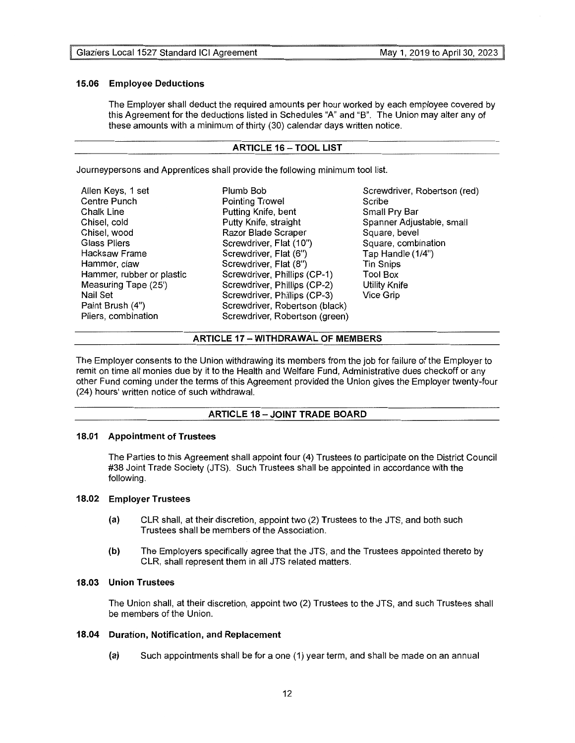## **15.06 Employee Deductions**

The Employer shall deduct the required amounts per hour worked by each employee covered by this Agreement for the deductions listed in Schedules "A" and "B". The Union may alter any of these amounts with a minimum of thirty (30) calendar days written notice.

## **ARTICLE 16-TOOL LIST**

Journeypersons and Apprentices shall provide the following minimum tool list.

| Allen Keys, 1 set<br>Centre Punch<br>Chalk Line<br>Chisel, cold<br>Chisel, wood<br><b>Glass Pliers</b><br>Hacksaw Frame<br>Hammer, claw<br>Hammer, rubber or plastic<br>Measuring Tape (25')<br>Nail Set<br>Paint Brush (4") | Plumb Bob<br>Pointing Trowel<br>Putting Knife, bent<br>Putty Knife, straight<br>Razor Blade Scraper<br>Screwdriver, Flat (10")<br>Screwdriver, Flat (6")<br>Screwdriver, Flat (8")<br>Screwdriver, Phillips (CP-1)<br>Screwdriver, Phillips (CP-2)<br>Screwdriver, Phillips (CP-3)<br>Screwdriver, Robertson (black) | Screwdriver, Robertson (red)<br>Scribe<br>Small Pry Bar<br>Spanner Adjustable, small<br>Square, bevel<br>Square, combination<br>Tap Handle (1/4")<br><b>Tin Snips</b><br><b>Tool Box</b><br><b>Utility Knife</b><br>Vice Grip |
|------------------------------------------------------------------------------------------------------------------------------------------------------------------------------------------------------------------------------|----------------------------------------------------------------------------------------------------------------------------------------------------------------------------------------------------------------------------------------------------------------------------------------------------------------------|-------------------------------------------------------------------------------------------------------------------------------------------------------------------------------------------------------------------------------|
| Pliers, combination                                                                                                                                                                                                          | Screwdriver, Robertson (green)                                                                                                                                                                                                                                                                                       |                                                                                                                                                                                                                               |

## **ARTICLE 17 -WITHDRAWAL OF MEMBERS**

The Employer consents to the Union withdrawing its members from the job for failure of the Employer to remit on time all monies due by it to the Health and Welfare Fund, Administrative dues checkoff or any other Fund coming under the terms of this Agreement provided the Union gives the Employer twenty-four (24) hours' written notice of such withdrawal.

## **ARTICLE 18 - JOINT TRADE BOARD**

## **18.01 Appointment of Trustees**

The Parties to this Agreement shall appoint four (4) Trustees to participate on the District Council #38 Joint Trade Society (JTS). Such Trustees shall be appointed in accordance with the following.

## **18.02 Employer Trustees**

- (a) CLR shall, at their discretion, appoint two (2) Trustees to the JTS, and both such Trustees shall be members of the Association.
- **(b)** The Employers specifically agree that the JTS, and the Trustees appointed thereto by CLR, shall represent them in all JTS related matters.

## **18.03 Union Trustees**

The Union shall, at their discretion, appoint two (2) Trustees to the JTS, and such Trustees shall be members of the Union.

## **18.04 Duration, Notification, and Replacement**

**(a)** Such appointments shall be for a one (1) year term, and shall be made on an annual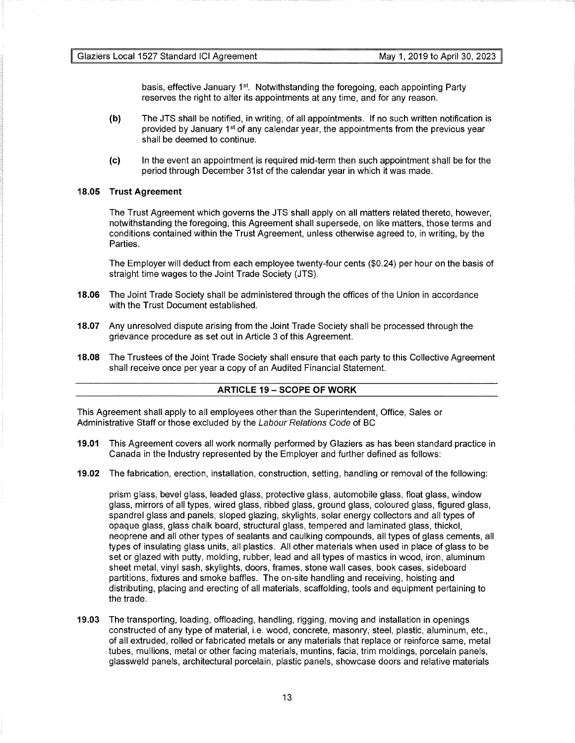basis, effective January 1<sup>st</sup>. Notwithstanding the foregoing, each appointing Party reserves the right to alter its appointments at any time, and for any reason.

- **(b)** The JTS shall be notified, in writing, of all appointments. If no such written notification is provided by January  $1<sup>st</sup>$  of any calendar year, the appointments from the previous year shall be deemed to continue.
- (c) In the event an appointment is required mid-term then such appointment shall be for the period through December 31st of the calendar year in which it was made.

## **18.05 Trust Agreement**

The Trust Agreement which governs the JTS shall apply on all matters related thereto, however, notwithstanding the foregoing, this Agreement shall supersede, on like matters, those terms and conditions contained within the Trust Agreement, unless otherwise agreed to, in writing, by the Parties.

The Employer will deduct from each employee twenty-four cents (\$0.24) per hour on the basis of straight time wages to the Joint Trade Society (JTS).

- **18.06** The Joint Trade Society shall be administered through the offices of the Union in accordance with the Trust Document established.
- **18.07** Any unresolved dispute arising from the Joint Trade Society shall be processed through the grievance procedure as set out in Article 3 of this Agreement.
- **18.08** The Trustees of the Joint Trade Society shall ensure that each party to this Collective Agreement shall receive once per year a copy of an Audited Financial Statement.

## **ARTICLE 19 - SCOPE OF WORK**

This Agreement shall apply to all employees other than the Superintendent, Office, Sales or Administrative Staff or those excluded by the Labour Relations Code of BC

- **19.01** This Agreement covers all work normally performed by Glaziers as has been standard practice in Canada in the Industry represented by the Employer and further defined as follows:
- **19.02** The fabrication, erection, installation, construction, setting, handling or removal of the following:

prism glass, bevel glass, leaded glass, protective glass, automobile glass, float glass, window glass, mirrors of all types, wired glass, ribbed glass, ground glass, coloured glass, figured glass, spandrel glass and panels, sloped glazing, skylights, solar energy collectors and all types of opaque glass, glass chalk board, structural glass, tempered and laminated glass, thickol, neoprene and all other types of sealants and caulking compounds, all types of glass cements, all types of insulating glass units, all plastics. All other materials when used in place of glass to be set or glazed with putty, molding, rubber, lead and all types of mastics in wood, iron, aluminum sheet metal, vinyl sash, skylights, doors, frames, stone wall cases, book cases, sideboard partitions, fixtures and smoke baffles. The on-site handling and receiving, hoisting and distributing, placing and erecting of all materials, scaffolding, tools and equipment pertaining to the trade.

**19.03** The transporting, loading, offloading, handling, rigging, moving and installation in openings constructed of any type of material, i.e. wood, concrete, masonry, steel, plastic, aluminum, etc., of all extruded, rolled or fabricated metals or any materials that replace or reinforce same, metal tubes, mullions, metal or other facing materials, muntins, facia, trim moldings, porcelain panels, glassweld panels, architectural porcelain, plastic panels, showcase doors and relative materials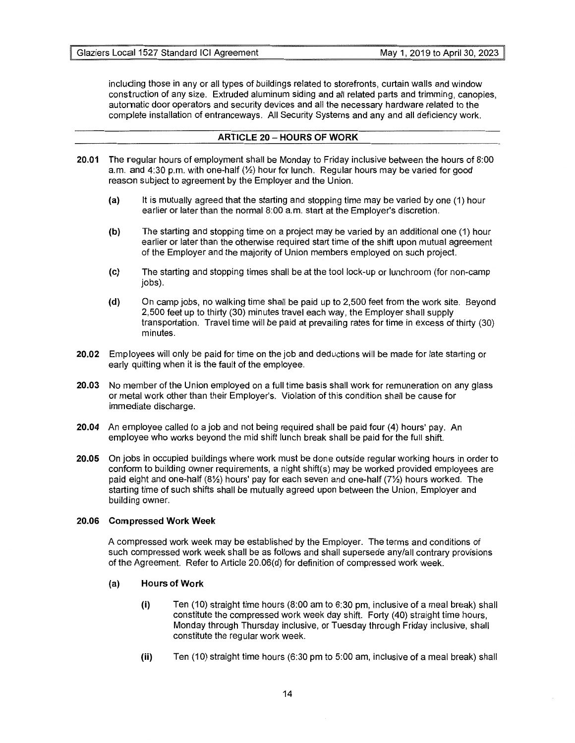including those in any or all types of buildings related to storefronts, curtain walls and window construction of any size. Extruded aluminum siding and all related parts and trimming, canopies, automatic door operators and security devices and all the necessary hardware related to the complete installation of entranceways. All Security Systems and any and all deficiency work.

## **ARTICLE 20 - HOURS OF WORK**

- **20.01** The regular hours of employment shall be Monday to Friday inclusive between the hours of 8:00 a.m. and 4:30 p.m. with one-half  $(\frac{1}{2})$  hour for lunch. Regular hours may be varied for good reason subject to agreement by the Employer and the Union.
	- (a) It is mutually agreed that the starting and stopping time may be varied by one (1) hour earlier or later than the normal 8:00 a.m. start at the Employer's discretion.
	- **(b)** The starting and stopping time on a project may be varied by an additional one (1) hour earlier or later than the otherwise required start time of the shift upon mutual agreement of the Employer and the majority of Union members employed on such project.
	- (c) The starting and stopping times shall be at the tool lock-up or lunchroom (for non-camp jobs).
	- **(d)** On camp jobs, no walking time shall be paid up to 2,500 feet from the work site. Beyond 2,500 feet up to thirty (30) minutes travel each way, the Employer shall supply transportation. Travel time will be paid at prevailing rates for time in excess of thirty (30) minutes.
- **20.02** Employees will only be paid for time on the job and deductions will be made for late starting or early quitting when it is the fault of the employee.
- **20.03** No member of the Union employed on a full time basis shall work for remuneration on any glass or metal work other than their Employer's. Violation of this condition shall be cause for immediate discharge.
- **20.04** An employee called to a job and not being required shall be paid four (4) hours' pay. An employee who works beyond the mid shift lunch break shall be paid for the full shift.
- **20.05** On jobs in occupied buildings where work must be done outside regular working hours in order to conform to building owner requirements, a night shift{s) may be worked provided employees are paid eight and one-half (8%) hours' pay for each seven and one-half (7%) hours worked. The starting time of such shifts shall be mutually agreed upon between the Union, Employer and building owner.

## **20.06 Compressed Work Week**

A compressed work week may be established by the Employer. The terms and conditions of such compressed work week shall be as follows and shall supersede any/all contrary provisions of the Agreement. Refer to Article 20.06(d) for definition of compressed work week.

## (a) **Hours of Work**

- **(i)** Ten (10) straight time hours (8:00 am to 6:30 pm, inclusive of a meal break) shall constitute the compressed work week day shift. Forty (40) straight time hours, Monday through Thursday inclusive, or Tuesday through Friday inclusive, shall constitute the regular work week.
- **(ii)** Ten (10) straight time hours (6:30 pm to 5:00 am, inclusive of a meal break) shall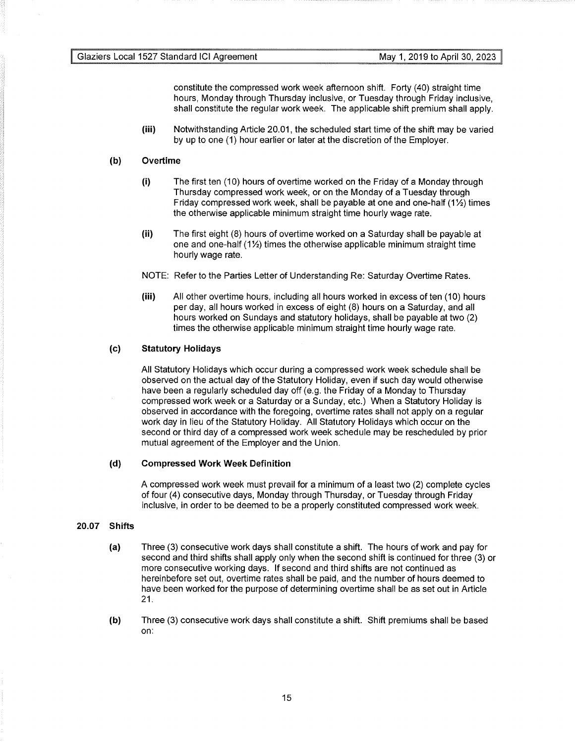constitute the compressed work week afternoon shift. Forty (40) straight time hours, Monday through Thursday inclusive, or Tuesday through Friday inclusive, shall constitute the regular work week. The applicable shift premium shall apply.

**(iii)** Notwithstanding Article 20.01, the scheduled start time of the shift may be varied by up to one (1) hour earlier or later at the discretion of the Employer.

## **(b) Overtime**

- (i) The first ten (10) hours of overtime worked on the Friday of a Monday through Thursday compressed work week, or on the Monday of a Tuesday through Friday compressed work week, shall be payable at one and one-half  $(1\frac{1}{2})$  times the otherwise applicable minimum straight time hourly wage rate.
- (ii) The first eight (8) hours of overtime worked on a Saturday shall be payable at one and one-half  $(1\frac{1}{2})$  times the otherwise applicable minimum straight time hourly wage rate.
- NOTE: Refer to the Parties Letter of Understanding Re: Saturday Overtime Rates.
- **(iii)** All other overtime hours, including all hours worked in excess of ten (10) hours per day, all hours worked in excess of eight (8) hours on a Saturday, and all hours worked on Sundays and statutory holidays, shall be payable at two (2) times the otherwise applicable minimum straight time hourly wage rate.

## (c) **Statutory Holidays**

All Statutory Holidays which occur during a compressed work week schedule shall be observed on the actual day of the Statutory Holiday, even if such day would otherwise have been a regularly scheduled day off (e.g. the Friday of a Monday to Thursday compressed work week or a Saturday or a Sunday, etc.) When a Statutory Holiday is observed in accordance with the foregoing, overtime rates shall not apply on a regular work day in lieu of the Statutory Holiday. All Statutory Holidays which occur on the second or third day of a compressed work week schedule may be rescheduled by prior mutual agreement of the Employer and the Union.

## **(d) Compressed Work Week Definition**

A compressed work week must prevail for a minimum of a least two (2) complete cycles of four (4) consecutive days, Monday through Thursday, or Tuesday through Friday inclusive, in order to be deemed to be a properly constituted compressed work week.

## **20.07 Shifts**

- (a) Three (3) consecutive work days shall constitute a shift. The hours of work and pay for second and third shifts shall apply only when the second shift is continued for three (3) or more consecutive working days. If second and third shifts are not continued as hereinbefore set out, overtime rates shall be paid, and the number of hours deemed to have been worked for the purpose of determining overtime shall be as set out in Article 21.
- **(b)** Three (3) consecutive work days shall constitute a shift. Shift premiums shall be based on: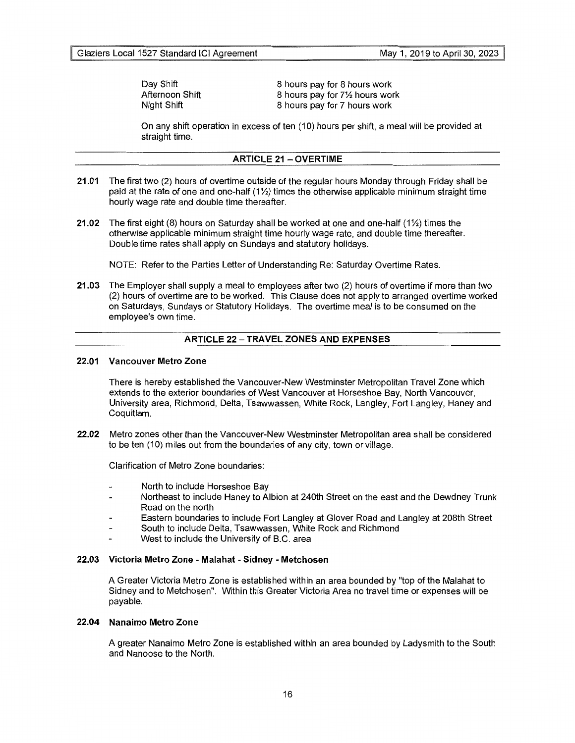Day Shift Afternoon Shift Night Shift

8 hours pay for 8 hours work 8 hours pay for 7% hours work 8 hours pay for 7 hours work

On any shift operation in excess of ten (10) hours per shift, a meal will be provided at straight time.

## **ARTICLE 21 - OVERTIME**

- **21.01** The first two (2) hours of overtime outside of the regular hours Monday through Friday shall be paid at the rate of one and one-half  $(1/2)$  times the otherwise applicable minimum straight time hourly wage rate and double time thereafter.
- **21.02** The first eight (8) hours on Saturday shall be worked at one and one-half (1<sup>1</sup>/<sub>2</sub>) times the otherwise applicable minimum straight time hourly wage rate, and double time thereafter. Double time rates shall apply on Sundays and statutory holidays.

NOTE: Refer to the Parties Letter of Understanding Re: Saturday Overtime Rates.

**21.03** The Employer shall supply a meal to employees after two (2) hours of overtime if more than two (2) hours of overtime are to be worked. This Clause does not apply to arranged overtime worked on Saturdays, Sundays or Statutory Holidays. The overtime meal is to be consumed on the employee's own time.

## **ARTICLE 22 - TRAVEL ZONES AND EXPENSES**

## **22.01 Vancouver Metro Zone**

There is hereby established the Vancouver-New Westminster Metropolitan Travel Zone which extends to the exterior boundaries of West Vancouver at Horseshoe Bay, North Vancouver, University area, Richmond, Delta, Tsawwassen, White Rock, Langley, Fort Langley, Haney and Coquitlam.

**22.02** Metro zones other than the Vancouver-New Westminster Metropolitan area shall be considered to be ten (10) miles out from the boundaries of any city, town or village.

Clarification of Metro Zone boundaries:

- North to include Horseshoe Bay
- Northeast to include Haney to Albion at 240th Street on the east and the Dewdney Trunk Road on the north
- Eastern boundaries to include Fort Langley at Glover Road and Langley at 208th Street
- South to include Delta, Tsawwassen, White Rock and Richmond
- West to include the University of B.C. area

## **22.03 Victoria Metro Zone - Malahat - Sidney - Metchosen**

A Greater Victoria Metro Zone is established within an area bounded by "top of the Malahat to Sidney and to Metchosen". Within this Greater Victoria Area no travel time or expenses will be payable.

## **22.04 Nanaimo Metro Zone**

A greater Nanaimo Metro Zone is established within an area bounded by Ladysmith to the South and Nanoose to the North.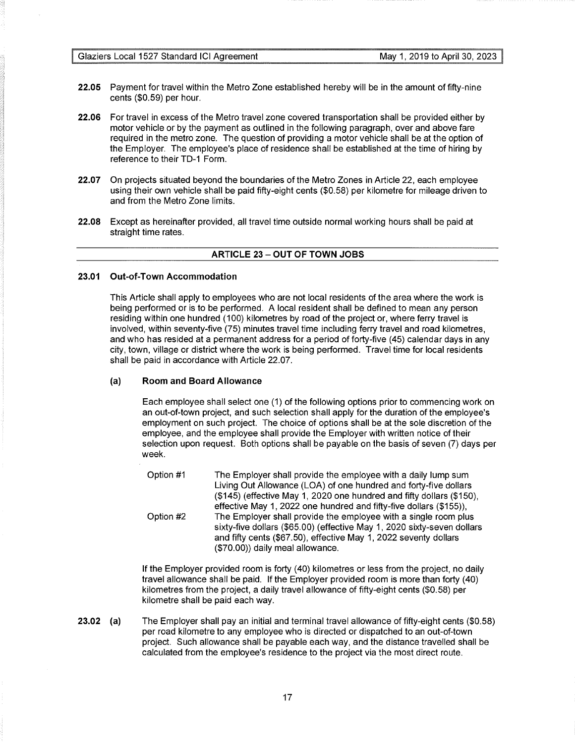- **22.05** Payment for travel within the Metro Zone established hereby will be in the amount of fifty-nine cents (\$0.59) per hour.
- **22.06** For travel in excess of the Metro travel zone covered transportation shall be provided either by motor vehicle or by the payment as outlined in the following paragraph, over and above fare required in the metro zone. The question of providing a motor vehicle shall be at the option of the Employer. The employee's place of residence shall be established at the time of hiring by reference to their TD-1 Form.
- **22.07** On projects situated beyond the boundaries of the Metro Zones in Article 22, each employee using their own vehicle shall be paid fifty-eight cents (\$0.58) per kilometre for mileage driven to and from the Metro Zone limits.
- **22.08** Except as hereinafter provided, all travel time outside normal working hours shall be paid at straight time rates.

## **ARTICLE 23 - OUT OF TOWN JOBS**

## **23.01 Out-of-Town Accommodation**

This Article shall apply to employees who are not local residents of the area where the work is being performed or is to be performed. A local resident shall be defined to mean any person residing within one hundred (100) kilometres by road of the project or, where ferry travel is involved, within seventy-five (75) minutes travel time including ferry travel and road kilometres, and who has resided at a permanent address for a period of forty-five (45) calendar days in any city, town, village or district where the work is being performed. Travel time for local residents shall be paid in accordance with Article 22.07.

## (a) **Room and Board Allowance**

Each employee shall select one (1) of the following options prior to commencing work on an out-of-town project, and such selection shall apply for the duration of the employee's employment on such project. The choice of options shall be at the sole discretion of the employee, and the employee shall provide the Employer with written notice of their selection upon request. Both options shall be payable on the basis of seven (7) days per week.

Option #1 Option #2 The Employer shall provide the employee with a daily lump sum Living Out Allowance (LOA) of one hundred and forty-five dollars (\$145) (effective May 1, 2020 one hundred and fifty dollars (\$150), effective May 1, 2022 one hundred and fifty-five dollars (\$155)), The Employer shall provide the employee with a single room plus sixty-five dollars (\$65.00) (effective May 1, 2020 sixty-seven dollars and fifty cents (\$67.50), effective May 1, 2022 seventy dollars (\$70.00)) daily meal allowance.

If the Employer provided room is forty (40) kilometres or less from the project, no daily travel allowance shall be paid. If the Employer provided room is more than forty (40) kilometres from the project, a daily travel allowance of fifty-eight cents (\$0.58) per kilometre shall be paid each way.

**23.02** (a) The Employer shall pay an initial and terminal travel allowance of fifty-eight cents (\$0.58) per road kilometre to any employee who is directed or dispatched to an out-of-town project. Such allowance shall be payable each way, and the distance travelled shall be calculated from the employee's residence to the project via the most direct route.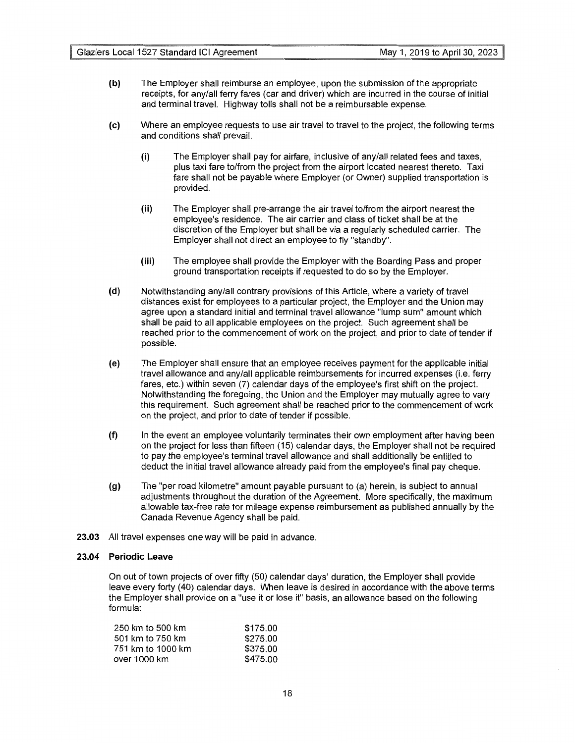- **(b)** The Employer shall reimburse an employee, upon the submission of the appropriate receipts, for any/all ferry fares (car and driver) which are incurred in the course of initial and terminal travel. Highway tolls shall not be a reimbursable expense.
- (c) Where an employee requests to use air travel to travel to the project, the following terms and conditions shall prevail.
	- (i) The Employer shall pay for airfare, inclusive of any/all related fees and taxes, plus taxi fare to/from the project from the airport located nearest thereto. Taxi fare shall not be payable where Employer (or Owner) supplied transportation is provided.
	- **(ii)** The Employer shall pre-arrange the air travel to/from the airport nearest the employee's residence. The air carrier and class of ticket shall be at the discretion of the Employer but shall be via a regularly scheduled carrier. The Employer shall not direct an employee to fly "standby".
	- **(iii)** The employee shall provide the Employer with the Boarding Pass and proper ground transportation receipts if requested to do so by the Employer.
- **(d)** Notwithstanding any/all contrary provisions of this Article, where a variety of travel distances exist for employees to a particular project, the Employer and the Union may agree upon a standard initial and terminal travel allowance "lump sum" amount which shall be paid to all applicable employees on the project. Such agreement shall be reached prior to the commencement of work on the project, and prior to date of tender if possible.
- (e) The Employer shall ensure that an employee receives payment for the applicable initial travel allowance and any/all applicable reimbursements for incurred expenses (i.e. ferry fares, etc.) within seven (7) calendar days of the employee's first shift on the project. Notwithstanding the foregoing, the Union and the Employer may mutually agree to vary this requirement. Such agreement shall be reached prior to the commencement of work on the project, and prior to date of tender if possible.
- **(f)** In the event an employee voluntarily terminates their own employment after having been on the project for less than fifteen (15) calendar days, the Employer shall not be required to pay the employee's terminal travel allowance and shall additionally be entitled to deduct the initial travel allowance already paid from the employee's final pay cheque.
- **(g)** The "per road kilometre" amount payable pursuant to (a) herein, is subject to annual adjustments throughout the duration of the Agreement. More specifically, the maximum allowable tax-free rate for mileage expense reimbursement as published annually by the Canada Revenue Agency shall be paid.
- **23.03** All travel expenses one way will be paid in advance.

## **23.04 Periodic Leave**

On out of town projects of over fifty (50) calendar days' duration, the Employer shall provide leave every forty (40) calendar days. When leave is desired in accordance with the above terms the Employer shall provide on a "use it or lose it" basis, an allowance based on the following formula:

| 250 km to 500 km  | \$175.00 |
|-------------------|----------|
| 501 km to 750 km  | \$275.00 |
| 751 km to 1000 km | \$375.00 |
| over 1000 km      | \$475.00 |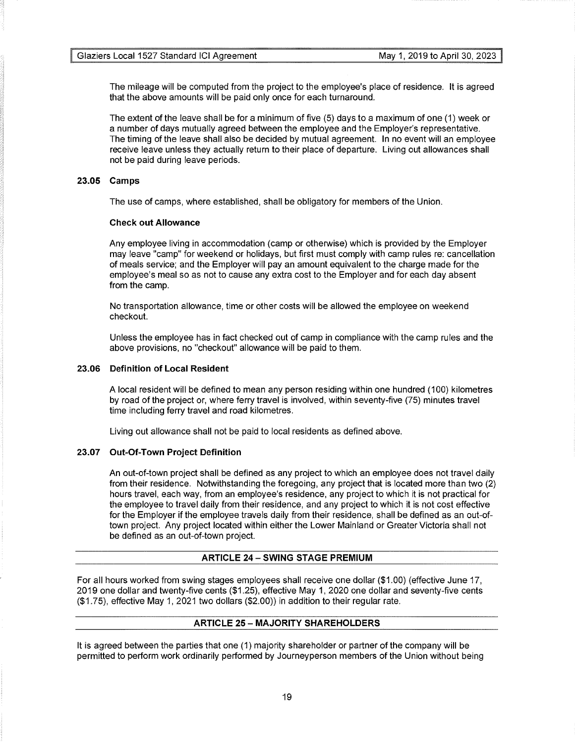The mileage will be computed from the project to the employee's place of residence. It is agreed that the above amounts will be paid only once for each turnaround.

The extent of the leave shall be for a minimum of five (5) days to a maximum of one (1) week or a number of days mutually agreed between the employee and the Employer's representative. The timing of the leave shall also be decided by mutual agreement. In no event will an employee receive leave unless they actually return to their place of departure. Living out allowances shall not be paid during leave periods.

## **23.05 Camps**

The use of camps, where established, shall be obligatory for members of the Union.

## **Check out Allowance**

Any employee living in accommodation (camp or otherwise) which is provided by the Employer may leave "camp" for weekend or holidays, but first must comply with camp rules re: cancellation of meals service; and the Employer will pay an amount equivalent to the charge made for the employee's meal so as not to cause any extra cost to the Employer and for each day absent from the camp.

No transportation allowance, time or other costs will be allowed the employee on weekend checkout.

Unless the employee has in fact checked out of camp in compliance with the camp rules and the above provisions, no "checkout" allowance will be paid to them.

## **23.06 Definition of Local Resident**

A local resident will be defined to mean any person residing within one hundred (100) kilometres by road of the project or, where ferry travel is involved, within seventy-five (75) minutes travel time including ferry travel and road kilometres.

Living out allowance shall not be paid to local residents as defined above.

## **23.07 Out-Of-Town Project Definition**

An out-of-town project shall be defined as any project to which an employee does not travel daily from their residence. Notwithstanding the foregoing, any project that is located more than two (2) hours travel, each way, from an employee's residence, any project to which it is not practical for the employee to travel daily from their residence, and any project to which it is not cost effective for the Employer if the employee travels daily from their residence, shall be defined as an out-oftown project. Any project located within either the Lower Mainland or Greater Victoria shall not be defined as an out-of-town project.

## **ARTICLE 24 - SWING STAGE PREMIUM**

For all hours worked from swing stages employees shall receive one dollar (\$1.00) (effective June 17, 2019 one dollar and twenty-five cents (\$1.25), effective May 1, 2020 one dollar and seventy-five cents (\$1.75), effective May 1, 2021 two dollars (\$2.00)) in addition to their regular rate.

## **ARTICLE 25 - MAJORITY SHAREHOLDERS**

It is agreed between the parties that one (1) majority shareholder or partner of the company will be permitted to perform work ordinarily performed by Journeyperson members of the Union without being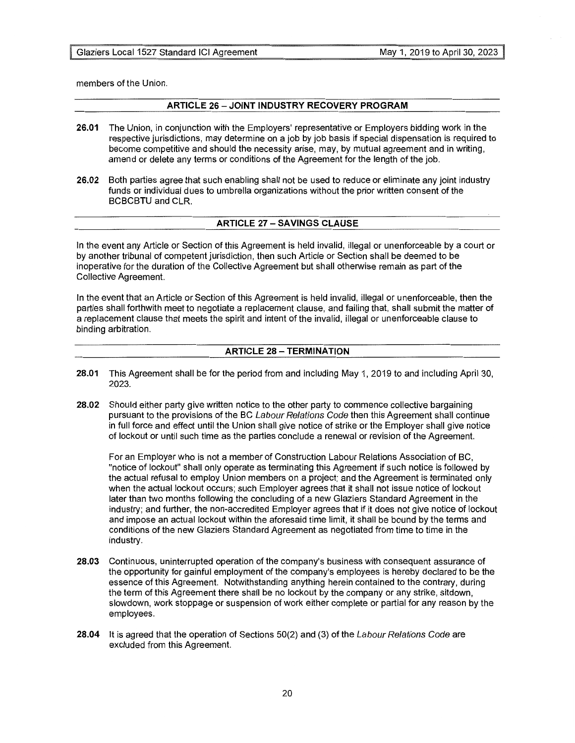members of the Union.

## **ARTICLE 26 - JOINT INDUSTRY RECOVERY PROGRAM**

- **26.01** The Union, in conjunction with the Employers' representative or Employers bidding work in the respective jurisdictions, may determine on a job by job basis if special dispensation is required to become competitive and should the necessity arise, may, by mutual agreement and in writing, amend or delete any terms or conditions of the Agreement for the length of the job.
- **26.02** Both parties agree that such enabling shall not be used to reduce or eliminate any joint industry funds or individual dues to umbrella organizations without the prior written consent of the BCBCBTU and CLR.

## **ARTICLE 27 - SAVINGS CLAUSE**

In the event any Article or Section of this Agreement is held invalid, illegal or unenforceable by a court or by another tribunal of competent jurisdiction, then such Article or Section shall be deemed to be inoperative for the duration of the Collective Agreement but shall otherwise remain as part of the Collective Agreement.

In the event that an Article or Section of this Agreement is held invalid, illegal or unenforceable, then the parties shall forthwith meet to negotiate a replacement clause, and failing that, shall submit the matter of a replacement clause that meets the spirit and intent of the invalid, illegal or unenforceable clause to binding arbitration.

## **ARTICLE 28 - TERMINATION**

- **28.01** This Agreement shall be for the period from and including May 1, 2019 to and including April 30, 2023.
- **28.02** Should either party give written notice to the other party to commence collective bargaining pursuant to the provisions of the BC Labour Relations Code then this Agreement shall continue in full force and effect until the Union shall give notice of strike or the Employer shall give notice of lockout or until such time as the parties conclude a renewal or revision of the Agreement.

For an Employer who is not a member of Construction Labour Relations Association of BC, "notice of lockout" shall only operate as terminating this Agreement if such notice is followed by the actual refusal to employ Union members on a project; and the Agreement is terminated only when the actual lockout occurs; such Employer agrees that it shall not issue notice of lockout later than two months following the concluding of a new Glaziers Standard Agreement in the industry; and further, the non-accredited Employer agrees that if it does not give notice of lockout and impose an actual lockout within the aforesaid time limit, it shall be bound by the terms and conditions of the new Glaziers Standard Agreement as negotiated from time to time in the industry.

- **28.03** Continuous, uninterrupted operation of the company's business with consequent assurance of the opportunity for gainful employment of the company's employees is hereby declared to be the essence of this Agreement. Notwithstanding anything herein contained to the contrary, during the term of this Agreement there shall be no lockout by the company or any strike, sitdown, slowdown, work stoppage or suspension of work either complete or partial for any reason by the employees.
- **28.04** It is agreed that the operation of Sections 50(2) and (3) of the Labour Relations Code are excluded from this Agreement.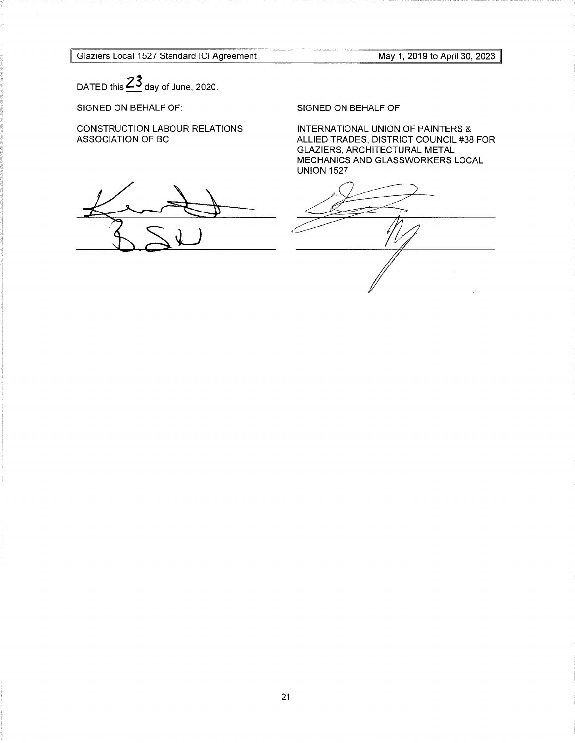Glaziers Local 1527 Standard ICI Agreement

May 1, 2019 to April 30, 2023

DATED this  $\frac{23}{ }$  day of June, 2020.

SIGNED ON BEHALF OF:

CONSTRUCTION LABOUR RELATIONS ASSOCIATION OF BC

SIGNED ON BEHALF OF

INTERNATIONAL UNION OF PAINTERS & ALLIED TRADES, DISTRICT COUNCIL #38 FOR GLAZIERS, ARCHITECTURAL METAL MECHANICS AND GLASSWORKERS LOCAL UNION 1527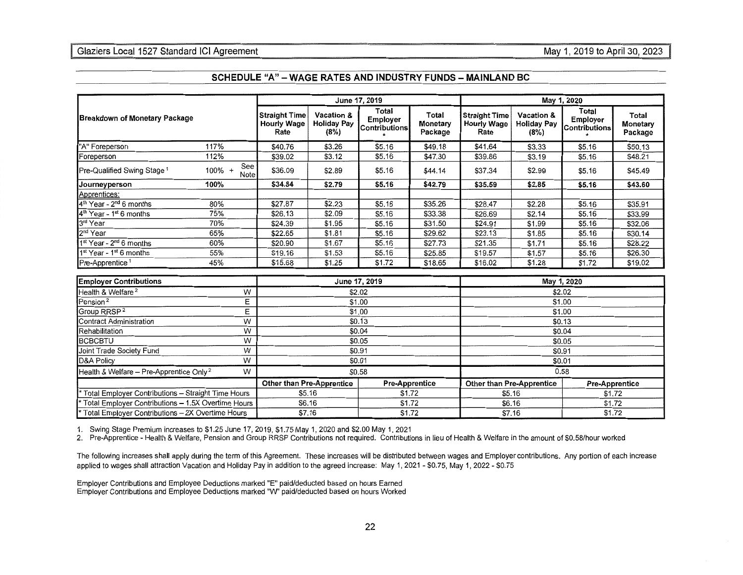|                                                      |                                                           |                                                    |                                          | June 17, 2019                                    |                                  | May 1, 2020                                        |                                          |                                           |                              |
|------------------------------------------------------|-----------------------------------------------------------|----------------------------------------------------|------------------------------------------|--------------------------------------------------|----------------------------------|----------------------------------------------------|------------------------------------------|-------------------------------------------|------------------------------|
| <b>Breakdown of Monetary Package</b>                 |                                                           | <b>Straight Time</b><br><b>Hourly Wage</b><br>Rate | Vacation &<br><b>Holiday Pay</b><br>(8%) | Total<br><b>Employer</b><br><b>Contributions</b> | Total<br>Monetary<br>Package     | <b>Straight Time</b><br><b>Hourly Wage</b><br>Rate | Vacation &<br><b>Holiday Pay</b><br>(8%) | <b>Total</b><br>Employer<br>Contributions | Total<br>Monetary<br>Package |
| "A" Foreperson                                       | 117%                                                      | \$40.76                                            | \$3.26                                   | \$5.16                                           | \$49.18                          | \$41.64                                            | \$3.33                                   | \$5.16                                    | \$50.13                      |
| Foreperson                                           | 112%                                                      | \$39.02                                            | \$3.12                                   | \$5.16                                           | \$47.30                          | \$39.86                                            | \$3.19                                   | \$5.16                                    | \$48.21                      |
| Pre-Qualified Swing Stage <sup>1</sup>               | See<br>100% +<br>Note                                     | \$36.09                                            | \$2.89                                   | \$5.16                                           | \$44.14                          | \$37.34                                            | \$2.99                                   | \$5.16                                    | \$45.49                      |
| Journeyperson                                        | 100%                                                      | \$34.84                                            | \$2.79                                   | \$5.16                                           | \$42.79                          | \$35.59                                            | \$2.85                                   | \$5.16                                    | \$43.60                      |
| Apprentices:                                         |                                                           |                                                    |                                          |                                                  |                                  |                                                    |                                          |                                           |                              |
| 4 <sup>th</sup> Year - 2 <sup>nd</sup> 6 months      | 80%                                                       | \$27.87                                            | \$2.23                                   | \$5.16                                           | \$35.26                          | \$28.47                                            | \$2.28                                   | \$5.16                                    | \$35.91                      |
| $4th$ Year - 1 <sup>st</sup> 6 months                | 75%                                                       | \$26.13                                            | \$2.09                                   | \$5.16                                           | \$33.38                          | \$26.69                                            | \$2.14                                   | \$5.16                                    | \$33.99                      |
| 3rd Year                                             | 70%                                                       | \$24.39                                            | \$1.95                                   | \$5.16                                           | \$31.50                          | \$24.91                                            | \$1.99                                   | \$5.16                                    | \$32.06                      |
| $2nd$ Year                                           | 65%                                                       | \$22.65                                            | \$1.81                                   | \$5.16                                           | \$29.62                          | \$23.13                                            | \$1.85                                   | \$5.16                                    | \$30.14                      |
| $1st$ Year - $2nd$ 6 months                          | 60%                                                       | \$20.90                                            | \$1.67                                   | \$5.16                                           | \$27.73                          | \$21.35                                            | \$1.71                                   | \$5.16                                    | \$28.22                      |
| 1 <sup>st</sup> Year - 1 <sup>st</sup> 6 months      | 55%                                                       | \$19.16                                            | \$1.53                                   | \$5.16                                           | \$25.85                          | \$19.57                                            | \$1.57                                   | \$5.16                                    | \$26.30                      |
| Pre-Apprentice <sup>1</sup>                          | 45%                                                       | \$15.68                                            | \$1.25                                   | \$1.72                                           | \$18.65                          | \$16.02                                            | \$1.28                                   | \$1.72                                    | \$19.02                      |
| <b>Employer Contributions</b>                        |                                                           | June 17, 2019                                      |                                          |                                                  |                                  | May 1, 2020                                        |                                          |                                           |                              |
| Health & Welfare <sup>2</sup>                        | W                                                         | \$2.02                                             |                                          |                                                  |                                  | \$2.02                                             |                                          |                                           |                              |
| Pension <sup>2</sup>                                 | E                                                         |                                                    |                                          | \$1.00<br>\$1.00                                 |                                  |                                                    |                                          |                                           |                              |
| Group RRSP <sup>2</sup>                              | E                                                         | \$1.00                                             |                                          |                                                  |                                  | \$1.00                                             |                                          |                                           |                              |
| Contract Administration                              | W                                                         | \$0.13                                             |                                          |                                                  |                                  | \$0.13                                             |                                          |                                           |                              |
| Rehabilitation                                       | W                                                         | \$0.04                                             |                                          |                                                  |                                  | \$0.04                                             |                                          |                                           |                              |
| <b>BCBCBTU</b>                                       | W                                                         | \$0.05                                             |                                          |                                                  |                                  | \$0.05                                             |                                          |                                           |                              |
| Joint Trade Society Fund                             | W                                                         |                                                    |                                          | \$0.91                                           |                                  | \$0.91                                             |                                          |                                           |                              |
| D&A Policy                                           | $\overline{W}$                                            | \$0.01                                             |                                          |                                                  |                                  | \$0.01                                             |                                          |                                           |                              |
| Health & Welfare - Pre-Apprentice Only <sup>2</sup>  | W                                                         | \$0.58                                             |                                          |                                                  |                                  | 0.58                                               |                                          |                                           |                              |
|                                                      | <b>Other than Pre-Apprentice</b><br><b>Pre-Apprentice</b> |                                                    |                                          |                                                  | <b>Other than Pre-Apprentice</b> |                                                    |                                          | <b>Pre-Apprentice</b>                     |                              |
| * Total Employer Contributions - Straight Time Hours | \$1.72<br>\$5.16                                          |                                                    |                                          |                                                  | \$5.16<br>\$1.72                 |                                                    |                                          |                                           |                              |
| * Total Employer Contributions - 1.5X Overtime Hours |                                                           | \$6.16                                             |                                          | \$1.72                                           |                                  |                                                    | \$6.16                                   |                                           | \$1.72                       |
| * Total Employer Contributions - 2X Overtime Hours   |                                                           | \$7.16                                             |                                          | \$1.72                                           |                                  | \$7.16<br>\$1.72                                   |                                          |                                           |                              |

#### **SCHEDULE "A" - WAGE RA TES AND INDUSTRY FUNDS - MAINLAND BC**

1. Swing Stage Premium increases to \$1.25 June 17, 2019, \$1.75 May 1, 2020 and \$2.00 May 1, 2021

2. Pre-Apprentice - Health & Welfare, Pension and Group RRSP Contributions not required. Contributions in lieu of Health & Welfare in the amount of \$0.58/hour worked

The following increases shall apply during the term of this Agreement. These increases will be distributed between wages and Employer contributions. Any portion of each increase applied to wages shall attraction Vacation and Holiday Pay in addition to the agreed increase: May 1, 2021 - \$0. 75, May 1, 2022 - \$0. 75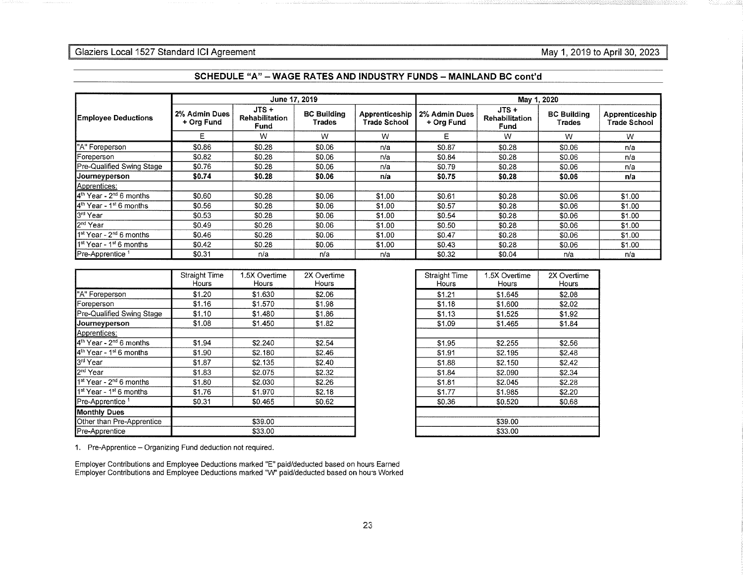## Glaziers Local 1527 Standard ICI Agreement **May 1, 2019 to April 30, 2023** May 1, 2019 to April 30, 2023

|                                                 |                             | June 17, 2019                            |                              |                                       | May 1, 2020                 |                                          |                              |                                |  |
|-------------------------------------------------|-----------------------------|------------------------------------------|------------------------------|---------------------------------------|-----------------------------|------------------------------------------|------------------------------|--------------------------------|--|
| <b>Employee Deductions</b>                      | 2% Admin Dues<br>+ Org Fund | $JTS +$<br><b>Rehabilitation</b><br>Fund | <b>BC Building</b><br>Trades | Apprenticeship<br><b>Trade School</b> | 2% Admin Dues<br>+ Org Fund | $JTS +$<br><b>Rehabilitation</b><br>Fund | <b>BC Building</b><br>Trades | Apprenticeship<br>Trade School |  |
|                                                 | E.                          | W                                        | W                            | W                                     | Е                           | W                                        | W                            | W                              |  |
| "A" Foreperson                                  | \$0.86                      | \$0.28                                   | \$0.06                       | n/a                                   | \$0.87                      | \$0.28                                   | \$0.06                       | n/a                            |  |
| Foreperson                                      | \$0.82                      | \$0.28                                   | \$0.06                       | n/a                                   | \$0.84                      | \$0.28                                   | \$0.06                       | n/a                            |  |
| Pre-Qualified Swing Stage                       | \$0.76                      | \$0.28                                   | \$0.06                       | n/a                                   | \$0.79                      | \$0.28                                   | \$0.06                       | n/a                            |  |
| Journeyperson                                   | \$0,74                      | \$0.28                                   | \$0.06                       | n/a                                   | \$0.75                      | \$0.28                                   | \$0.06                       | n/a                            |  |
| Apprentices:                                    |                             |                                          |                              |                                       |                             |                                          |                              |                                |  |
| 4 <sup>th</sup> Year - 2 <sup>nd</sup> 6 months | \$0.60                      | \$0.28                                   | \$0.06                       | \$1.00                                | \$0.61                      | \$0.28                                   | \$0.06                       | \$1.00                         |  |
| 4 <sup>th</sup> Year - 1 <sup>st</sup> 6 months | \$0.56                      | \$0.28                                   | \$0.06                       | \$1.00                                | \$0.57                      | \$0.28                                   | \$0.06                       | \$1.00                         |  |
| 3rd Year                                        | \$0.53                      | \$0.28                                   | \$0.06                       | \$1.00                                | \$0.54                      | \$0.28                                   | \$0.06                       | \$1.00                         |  |
| 2 <sup>nd</sup> Year                            | \$0.49                      | \$0.28                                   | \$0.06                       | \$1.00                                | \$0.50                      | \$0.28                                   | \$0.06                       | \$1.00                         |  |
| 1 <sup>st</sup> Year - 2 <sup>nd</sup> 6 months | \$0.46                      | \$0.28                                   | \$0.06                       | \$1.00                                | \$0.47                      | \$0.28                                   | \$0.06                       | \$1.00                         |  |
| 1 <sup>st</sup> Year - 1 <sup>st</sup> 6 months | \$0.42                      | \$0.28                                   | \$0.06                       | \$1.00                                | \$0.43                      | \$0.28                                   | \$0.06                       | \$1.00                         |  |
| Pre-Apprentice <sup>1</sup>                     | \$0.31                      | n/a                                      | n/a                          | n/a                                   | \$0.32                      | \$0.04                                   | n/a                          | n/a                            |  |

#### **SCHEDULE "A" - WAGE RATES AND INDUSTRY FUNDS - MAINLAND BC cont'd**

|                                                 | Straight Time<br>Hours | 1.5X Overtime<br>Hours | 2X Overtime<br>Hours |  |
|-------------------------------------------------|------------------------|------------------------|----------------------|--|
| "A" Foreperson                                  | \$1.20                 | \$1.630                | \$2.06               |  |
| Foreperson                                      | \$1.16                 | \$1,570                | \$1.98               |  |
| Pre-Qualified Swing Stage                       | \$1,10                 | \$1,480                | \$1.86               |  |
| Journeyperson                                   | \$1.08                 | \$1.450                | \$1.82               |  |
| Apprentices:                                    |                        |                        |                      |  |
| 4 <sup>th</sup> Year - 2 <sup>nd</sup> 6 months | \$1.94                 | \$2.240                | \$2.54               |  |
| 4 <sup>th</sup> Year - 1 <sup>st</sup> 6 months | \$1.90                 | \$2.180                | \$2.46               |  |
| 3rd Year                                        | \$1.87                 | \$2.135                | \$2.40               |  |
| 2 <sup>nd</sup> Year                            | \$1.83                 | \$2.075                | \$2.32               |  |
| 1 <sup>st</sup> Year - 2 <sup>nd</sup> 6 months | \$1.80                 | \$2.030                | \$2.26               |  |
| 1 <sup>st</sup> Year - 1 <sup>st</sup> 6 months | \$1.76                 | \$1.970                | \$2.18               |  |
| Pre-Apprentice <sup>1</sup>                     | \$0.31                 | \$0.465                | \$0.62               |  |
| <b>Monthly Dues</b>                             |                        |                        |                      |  |
| Other than Pre-Apprentice                       | \$39.00                |                        |                      |  |
| Pre-Apprentice                                  | \$33.00                |                        |                      |  |

| Straight Time<br>Hours | 1.5X Overtime<br>Hours | 2X Overtime<br>Hours |  |  |  |  |  |
|------------------------|------------------------|----------------------|--|--|--|--|--|
| \$1.21                 | \$1.645                | \$2.08               |  |  |  |  |  |
| \$1.18                 | \$1.600                | \$2.02               |  |  |  |  |  |
| \$1.13                 | \$1.525                | \$1.92               |  |  |  |  |  |
| \$1.09                 | \$1.465                | \$1.84               |  |  |  |  |  |
|                        |                        |                      |  |  |  |  |  |
| \$1.95                 | \$2.255                | \$2.56               |  |  |  |  |  |
| \$1.91                 | \$2.195                | \$2.48               |  |  |  |  |  |
| \$1.88                 | \$2.150                | \$2.42               |  |  |  |  |  |
| \$1.84                 | \$2.090                | \$2.34               |  |  |  |  |  |
| \$1.81                 | \$2.045                | \$2.28               |  |  |  |  |  |
| \$1.77                 | \$1.985                | \$2.20               |  |  |  |  |  |
| \$0.36                 | \$0.520                | \$0.68               |  |  |  |  |  |
|                        |                        |                      |  |  |  |  |  |
| \$39.00                |                        |                      |  |  |  |  |  |
| \$33.00                |                        |                      |  |  |  |  |  |

1. Pre-Apprentice - Organizing Fund deduction not required.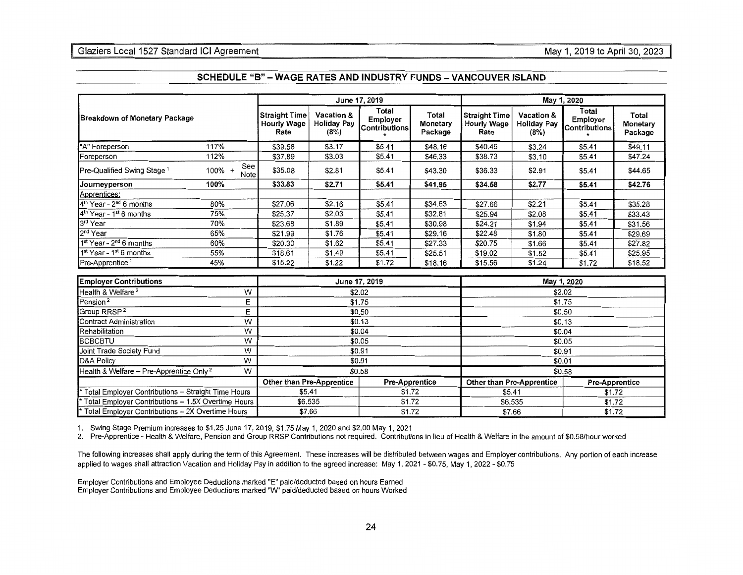## Glaziers Local 1527 Standard ICI Agreement

|                                                               |                                                    |                                                    |                                          | June 17, 2019                             |                              |                                             | May 1, 2020                              |                                    |                                     |  |
|---------------------------------------------------------------|----------------------------------------------------|----------------------------------------------------|------------------------------------------|-------------------------------------------|------------------------------|---------------------------------------------|------------------------------------------|------------------------------------|-------------------------------------|--|
| Breakdown of Monetary Package                                 |                                                    | <b>Straight Time</b><br><b>Hourly Wage</b><br>Rate | Vacation &<br><b>Holiday Pay</b><br>(8%) | Total<br><b>Employer</b><br>Contributions | Total<br>Monetary<br>Package | <b>Straight Time</b><br>Hourly Wage<br>Rate | Vacation &<br><b>Holiday Pay</b><br>(8%) | Total<br>Employer<br>Contributions | <b>Total</b><br>Monetary<br>Package |  |
| "A" Foreperson                                                | 117%                                               | \$39.58                                            | \$3.17                                   | \$5.41                                    | \$48.16                      | \$40.46                                     | \$3.24                                   | \$5.41                             | \$49.11                             |  |
| Foreperson                                                    | 112%                                               | \$37.89                                            | \$3.03                                   | \$5.41                                    | \$46.33                      | \$38.73                                     | \$3.10                                   | \$5.41                             | \$47.24                             |  |
| Pre-Qualified Swing Stage <sup>1</sup>                        | See<br>$100\%$ +<br>Note                           | \$35.08                                            | \$2.81                                   | \$5.41                                    | \$43.30                      | \$36.33                                     | \$2.91                                   | \$5.41                             | \$44.65                             |  |
| Journeyperson                                                 | 100%                                               | \$33.83                                            | \$2.71                                   | \$5.41                                    | \$41.95                      | \$34.58                                     | \$2.77                                   | \$5.41                             | \$42.76                             |  |
| Apprentices:                                                  |                                                    |                                                    |                                          |                                           |                              |                                             |                                          |                                    |                                     |  |
| 4 <sup>th</sup> Year - 2 <sup>nd</sup> 6 months               | 80%                                                | \$27.06                                            | \$2.16                                   | \$5.41                                    | \$34.63                      | \$27.66                                     | \$2.21                                   | \$5.41                             | \$35.28                             |  |
| 4 <sup>th</sup> Year - 1 <sup>st</sup> 6 months               | 75%                                                | \$25.37                                            | \$2.03                                   | \$5.41                                    | \$32.81                      | \$25.94                                     | \$2.08                                   | \$5.41                             | \$33.43                             |  |
| 3rd Year                                                      | 70%                                                | \$23.68                                            | \$1.89                                   | \$5.41                                    | \$30.98                      | \$24.21                                     | \$1.94                                   | \$5.41                             | \$31.56                             |  |
| $2nd$ Year                                                    | 65%                                                | \$21.99                                            | \$1.76                                   | \$5.41                                    | \$29.16                      | \$22.48                                     | \$1.80                                   | \$5.41                             | \$29.69                             |  |
| $1st Year - 2nd 6 months$                                     | 60%                                                | \$20.30                                            | \$1.62                                   | \$5.41                                    | \$27.33                      | \$20.75                                     | \$1.66                                   | \$5.41                             | \$27.82                             |  |
| 1 <sup>st</sup> Year - 1 <sup>st</sup> 6 months               | 55%                                                | \$18.61                                            | \$1.49                                   | \$5.41                                    | \$25.51                      | \$19.02                                     | \$1.52                                   | \$5.41                             | \$25.95                             |  |
| Pre-Apprentice <sup>1</sup>                                   | 45%                                                | \$15.22                                            | \$1.22                                   | \$1.72                                    | \$18.16                      | \$15.56                                     | \$1.24                                   | \$1.72                             | \$18.52                             |  |
| <b>Employer Contributions</b>                                 |                                                    |                                                    |                                          | June 17, 2019                             |                              |                                             |                                          | May 1, 2020                        |                                     |  |
| Health & Welfare <sup>2</sup>                                 | W                                                  | \$2.02                                             |                                          |                                           |                              | \$2.02                                      |                                          |                                    |                                     |  |
| Pension <sup>2</sup>                                          | Ε                                                  |                                                    |                                          | \$1.75                                    |                              | \$1.75                                      |                                          |                                    |                                     |  |
| Group RRSP <sup>2</sup>                                       | E                                                  |                                                    |                                          | \$0.50                                    |                              |                                             |                                          |                                    |                                     |  |
| Contract Administration                                       | W                                                  |                                                    |                                          | \$0.13                                    |                              | \$0.50<br>\$0.13                            |                                          |                                    |                                     |  |
| Rehabilitation                                                | W                                                  |                                                    |                                          | \$0.04                                    |                              | \$0.04                                      |                                          |                                    |                                     |  |
| <b>BCBCBTU</b>                                                | W                                                  |                                                    |                                          | \$0.05                                    |                              | \$0.05                                      |                                          |                                    |                                     |  |
| Joint Trade Society Fund                                      | W                                                  |                                                    |                                          | \$0.91                                    |                              |                                             |                                          | \$0.91                             |                                     |  |
| D&A Policy                                                    | W                                                  |                                                    |                                          | \$0.01                                    |                              |                                             |                                          | \$0.01                             |                                     |  |
| Health & Welfare - Pre-Apprentice Only <sup>2</sup>           | W                                                  | \$0.58                                             |                                          |                                           |                              | \$0.58                                      |                                          |                                    |                                     |  |
|                                                               | Other than Pre-Apprentice<br><b>Pre-Apprentice</b> |                                                    |                                          |                                           | Other than Pre-Apprentice    |                                             | <b>Pre-Apprentice</b>                    |                                    |                                     |  |
| Total Employer Contributions - Straight Time Hours            |                                                    | \$5.41<br>\$1.72                                   |                                          |                                           |                              | \$5.41<br>\$1.72                            |                                          |                                    |                                     |  |
| Total Employer Contributions - 1.5X Overtime Hours            |                                                    | \$6.535                                            |                                          | \$1.72                                    |                              | \$6.535                                     |                                          | \$1.72                             |                                     |  |
| <sup>*</sup> Total Emplover Contributions - 2X Overtime Hours | \$7.66                                             |                                                    | \$1.72                                   |                                           | \$7.66<br>\$1.72             |                                             |                                          |                                    |                                     |  |

### **SCHEDULE "8" -WAGE RATES AND INDUSTRY FUNDS -VANCOUVER ISLAND**

1. Swing Stage Premium increases to \$1.25 June 17, 2019, \$1.75 May 1, 2020 and \$2.00May1, 2021

2. Pre-Apprentice - Health & Welfare, Pension and Group RRSP Contributions not required. Contributions in lieu of Health & Welfare in the amount of \$0.58/hour worked

The following increases shall apply during the term of this Agreement. These increases will be distributed between wages and Employer contributions. Any portion of each increase applied to wages shall attraction Vacation and Holiday Pay in addition to the agreed increase: May 1, 2021 - \$0.75, May 1, 2022 - \$0.75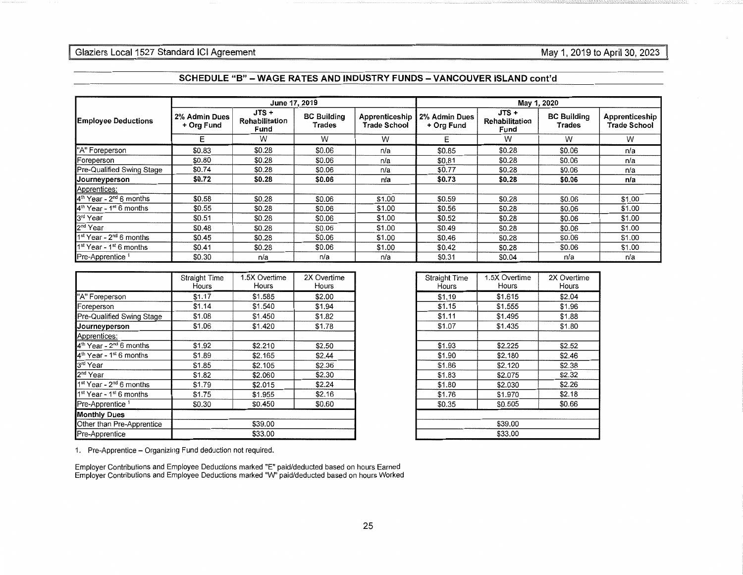|                                                 |                             | June 17, 2019                   |                              |                                       | May 1, 2020                 |                                   |                              |                                       |  |
|-------------------------------------------------|-----------------------------|---------------------------------|------------------------------|---------------------------------------|-----------------------------|-----------------------------------|------------------------------|---------------------------------------|--|
| <b>Employee Deductions</b>                      | 2% Admin Dues<br>+ Org Fund | JTS +<br>Rehabilitation<br>Fund | <b>BC Building</b><br>Trades | Apprenticeship<br><b>Trade School</b> | 2% Admin Dues<br>+ Org Fund | $JTS +$<br>Rehabilitation<br>Fund | <b>BC Building</b><br>Trades | Apprenticeship<br><b>Trade School</b> |  |
|                                                 | E                           | W                               | W                            | W                                     | Е                           | W                                 | W                            | W                                     |  |
| "A" Foreperson                                  | \$0.83                      | \$0.28                          | \$0.06                       | n/a                                   | \$0.85                      | \$0.28                            | \$0.06                       | n/a                                   |  |
| Foreperson                                      | \$0.80                      | \$0.28                          | \$0.06                       | n/a                                   | \$0.81                      | \$0.28                            | \$0.06                       | n/a                                   |  |
| Pre-Qualified Swing Stage                       | \$0.74                      | \$0.28                          | \$0.06                       | n/a                                   | \$0.77                      | \$0,28                            | \$0.06                       | n/a                                   |  |
| Journeyperson                                   | \$0.72                      | \$0.28                          | \$0.06                       | n/a                                   | \$0.73                      | \$0,28                            | \$0.06                       | n/a                                   |  |
| Apprentices:                                    |                             |                                 |                              |                                       |                             |                                   |                              |                                       |  |
| 4 <sup>th</sup> Year - 2 <sup>nd</sup> 6 months | \$0.58                      | \$0.28                          | \$0.06                       | \$1.00                                | \$0.59                      | \$0.28                            | \$0.06                       | \$1.00                                |  |
| 4 <sup>th</sup> Year - 1 <sup>st</sup> 6 months | \$0.55                      | \$0.28                          | \$0.06                       | \$1.00                                | \$0.56                      | \$0.28                            | \$0.06                       | \$1.00                                |  |
| 3rd Year                                        | \$0.51                      | \$0.28                          | \$0.06                       | \$1.00                                | \$0.52                      | \$0.28                            | \$0.06                       | \$1.00                                |  |
| 2 <sup>nd</sup> Year                            | \$0.48                      | \$0.28                          | \$0.06                       | \$1.00                                | \$0.49                      | \$0.28                            | \$0.06                       | \$1.00                                |  |
| 1 <sup>st</sup> Year - 2 <sup>nd</sup> 6 months | \$0.45                      | \$0.28                          | \$0.06                       | \$1.00                                | \$0.46                      | \$0.28                            | \$0.06                       | \$1.00                                |  |
| $1st$ Year - 1 <sup>st</sup> 6 months           | \$0.41                      | \$0.28                          | \$0.06                       | \$1.00                                | \$0.42                      | \$0.28                            | \$0.06                       | \$1.00                                |  |
| Pre-Apprentice <sup>1</sup>                     | \$0.30                      | n/a                             | n/a                          | n/a                                   | \$0.31                      | \$0.04                            | n/a                          | n/a                                   |  |

| SCHEDULE "B" – WAGE RATES AND INDUSTRY FUNDS – VANCOUVER ISLAND cont'd |  |  |
|------------------------------------------------------------------------|--|--|
|------------------------------------------------------------------------|--|--|

|                                                 | Straight Time | 1.5X Overtime | 2X Overtime |
|-------------------------------------------------|---------------|---------------|-------------|
|                                                 | Hours         | Hours         | Hours       |
|                                                 |               |               |             |
| "A" Foreperson                                  | \$1.17        | \$1.585       | \$2.00      |
| Foreperson                                      | \$1.14        | \$1.540       | \$1.94      |
| Pre-Qualified Swing Stage                       | \$1.08        | \$1.450       | \$1.82      |
| Journeyperson                                   | \$1.06        | \$1,420       | \$1,78      |
| Apprentices:                                    |               |               |             |
| $4th$ Year - 2 <sup>nd</sup> 6 months           | \$1.92        | \$2.210       | \$2.50      |
| 4 <sup>th</sup> Year - 1 <sup>st</sup> 6 months | \$1.89        | \$2.165       | \$2,44      |
| 3rd Year                                        | \$1.85        | \$2.105       | \$2,36      |
| 2 <sup>nd</sup> Year                            | \$1.82        | \$2,060       | \$2.30      |
| 1 <sup>st</sup> Year - 2 <sup>nd</sup> 6 months | \$1.79        | \$2.015       | \$2.24      |
| 1 <sup>st</sup> Year - 1 <sup>st</sup> 6 months | \$1.75        | \$1.955       | \$2.16      |
| Pre-Apprentice <sup>1</sup>                     | \$0.30        | \$0.450       | \$0.60      |
| <b>Monthly Dues</b>                             |               |               |             |
| Other than Pre-Apprentice                       | \$39.00       |               |             |
| Pre-Apprentice                                  | \$33.00       |               |             |

| <b>Straight Time</b><br>Hours | 1.5X Overtime<br>Hours | 2X Overtime<br>Hours |  |  |
|-------------------------------|------------------------|----------------------|--|--|
| \$1.19                        | \$1.615                | \$2.04               |  |  |
| \$1.15                        | \$1.555                | \$1.96               |  |  |
| \$1.11                        | \$1.495                | \$1.88               |  |  |
| \$1.07                        | \$1.435                | \$1.80               |  |  |
|                               |                        |                      |  |  |
| \$1.93                        | \$2,225                | \$2.52               |  |  |
| \$1.90                        | \$2,180                | \$2.46               |  |  |
| \$1.86                        | \$2,120                | \$2.38               |  |  |
| \$1.83                        | \$2.075                | \$2.32               |  |  |
| \$1.80                        | \$2.030                | \$2.26               |  |  |
| \$1.76                        | \$1.970                | \$2.18               |  |  |
| \$0.35                        | \$0.505                | \$0.66               |  |  |
|                               |                        |                      |  |  |
| \$39.00                       |                        |                      |  |  |
| \$33.00                       |                        |                      |  |  |

1. Pre-Apprentice - Organizing Fund deduction not required.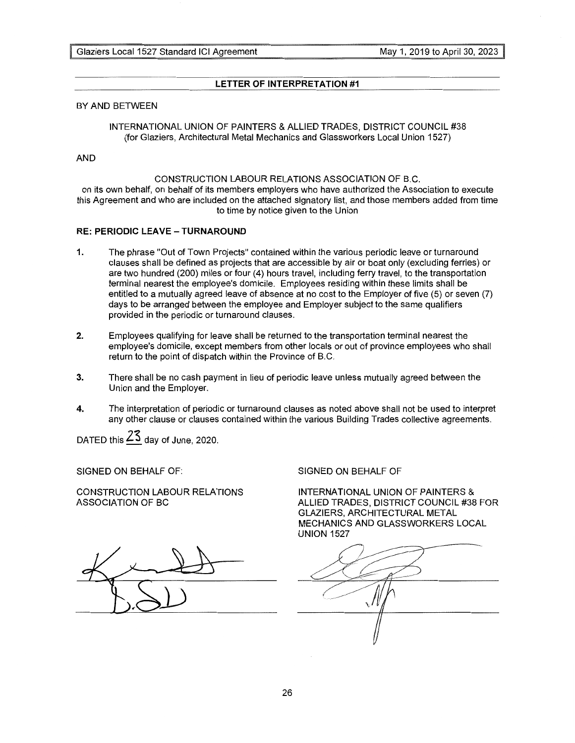## **LETTER OF INTERPRETATION #1**

## BY AND BETWEEN

INTERNATIONAL UNION OF PAINTERS & ALLIED TRADES, DISTRICT COUNCIL #38 (for Glaziers, Architectural Metal Mechanics and Glassworkers Local Union 1527)

## AND

## CONSTRUCTION LABOUR RELATIONS ASSOCIATION OF B.C.

on its own behalf, on behalf of its members employers who have authorized the Association to execute this Agreement and who are included on the attached signatory list, and those members added from time to time by notice given to the Union

## **RE: PERIODIC LEAVE - TURNAROUND**

- **1.** The phrase "Out of Town Projects" contained within the various periodic leave or turnaround clauses shall be defined as projects that are accessible by air or boat only (excluding ferries) or are two hundred (200) miles or four (4) hours travel, including ferry travel, to the transportation terminal nearest the employee's domicile. Employees residing within these limits shall be entitled to a mutually agreed leave of absence at no cost to the Employer of five (5) or seven (7) days to be arranged between the employee and Employer subject to the same qualifiers provided in the periodic or turnaround clauses.
- **2.** Employees qualifying for leave shall be returned to the transportation terminal nearest the employee's domicile, except members from other locals or out of province employees who shall return to the point of dispatch within the Province of B.C.
- 3. There shall be no cash payment in lieu of periodic leave unless mutually agreed between the Union and the Employer.
- **4.** The interpretation of periodic or turnaround clauses as noted above shall not be used to interpret any other clause or clauses contained within the various Building Trades collective agreements.

DATED this **Zs** day of June, 2020.

SIGNED ON BEHALF OF:

CONSTRUCTION LABOUR RELATIONS ASSOCIATION OF BC

SIGNED ON BEHALF OF

INTERNATIONAL UNION OF PAINTERS & ALLIED TRADES, DISTRICT COUNCIL #38 FOR GLAZIERS, ARCHITECTURAL METAL MECHANICS AND GLASSWORKERS LOCAL UNION 1527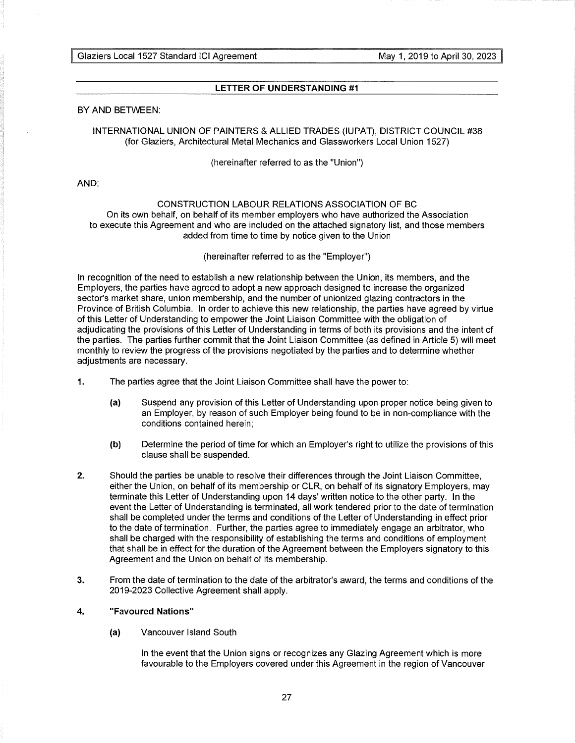## **LETTER OF UNDERSTANDING #1**

## BY AND BETWEEN:

## INTERNATIONAL UNION OF PAINTERS & ALLIED TRADES (IUPAT), DISTRICT COUNCIL #38 (for Glaziers, Architectural Metal Mechanics and Glassworkers Local Union 1527)

(hereinafter referred to as the "Union")

AND:

## CONSTRUCTION LABOUR RELATIONS ASSOCIATION OF BC

On its own behalf, on behalf of its member employers who have authorized the Association to execute this Agreement and who are included on the attached signatory list, and those members added from time to time by notice given to the Union

## (hereinafter referred to as the "Employer")

In recognition of the need to establish a new relationship between the Union, its members, and the Employers, the parties have agreed to adopt a new approach designed to increase the organized sector's market share, union membership, and the number of unionized glazing contractors in the Province of British Columbia. In order to achieve this new relationship, the parties have agreed by virtue of this Letter of Understanding to empower the Joint Liaison Committee with the obligation of adjudicating the provisions of this Letter of Understanding in terms of both its provisions and the intent of the parties. The parties further commit that the Joint Liaison Committee (as defined in Article 5) will meet monthly to review the progress of the provisions negotiated by the parties and to determine whether adjustments are necessary.

- **1.** The parties agree that the Joint Liaison Committee shall have the power to:
	- (a) Suspend any provision of this Letter of Understanding upon proper notice being given to an Employer, by reason of such Employer being found to be in non-compliance with the conditions contained herein;
	- **(b)** Determine the period of time for which an Employer's right to utilize the provisions of this clause shall be suspended.
- 2. Should the parties be unable to resolve their differences through the Joint Liaison Committee, either the Union, on behalf of its membership or CLR, on behalf of its signatory Employers, may terminate this Letter of Understanding upon 14 days' written notice to the other party. In the event the Letter of Understanding is terminated, all work tendered prior to the date of termination shall be completed under the terms and conditions of the Letter of Understanding in effect prior to the date of termination. Further, the parties agree to immediately engage an arbitrator, who shall be charged with the responsibility of establishing the terms and conditions of employment that shall be in effect for the duration of the Agreement between the Employers signatory to this Agreement and the Union on behalf of its membership.
- 3. From the date of termination to the date of the arbitrator's award, the terms and conditions of the 2019-2023 Collective Agreement shall apply.

## **4. "Favoured Nations"**

(a) Vancouver Island South

In the event that the Union signs or recognizes any Glazing Agreement which is more favourable to the Employers covered under this Agreement in the region of Vancouver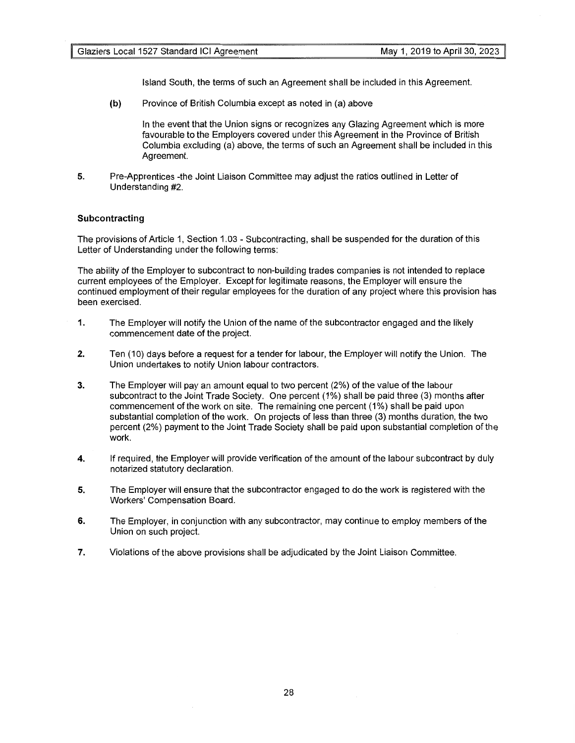Island South, the terms of such an Agreement shall be included in this Agreement.

**(b)** Province of British Columbia except as noted in (a) above

In the event that the Union signs or recognizes any Glazing Agreement which is more favourable to the Employers covered under this Agreement in the Province of British Columbia excluding (a) above, the terms of such an Agreement shall be included in this Agreement.

**5.** Pre-Apprentices -the Joint Liaison Committee may adjust the ratios outlined in Letter of Understanding #2.

## **Subcontracting**

The provisions of Article 1, Section 1.03 - Subcontracting, shall be suspended for the duration of this Letter of Understanding under the following terms:

The ability of the Employer to subcontract to non-building trades companies is not intended to replace current employees of the Employer. Except for legitimate reasons, the Employer will ensure the continued employment of their regular employees for the duration of any project where this provision has been exercised.

- **1.** The Employer will notify the Union of the name of the subcontractor engaged and the likely commencement date of the project.
- **2.** Ten (10) days before a request for a tender for labour, the Employer will notify the Union. The Union undertakes to notify Union labour contractors.
- 3. The Employer will pay an amount equal to two percent (2%) of the value of the labour subcontract to the Joint Trade Society. One percent (1%) shall be paid three (3) months after commencement of the work on site. The remaining one percent (1%) shall be paid upon substantial completion of the work. On projects of less than three (3) months duration, the two percent (2%) payment to the Joint Trade Society shall be paid upon substantial completion of the work.
- **4.** If required, the Employer will provide verification of the amount of the labour subcontract by duly notarized statutory declaration.
- **5.** The Employer will ensure that the subcontractor engaged to do the work is registered with the Workers' Compensation Board.
- **6.** The Employer, in conjunction with any subcontractor, may continue to employ members of the Union on such project.
- **7.** Violations of the above provisions shall be adjudicated by the Joint Liaison Committee.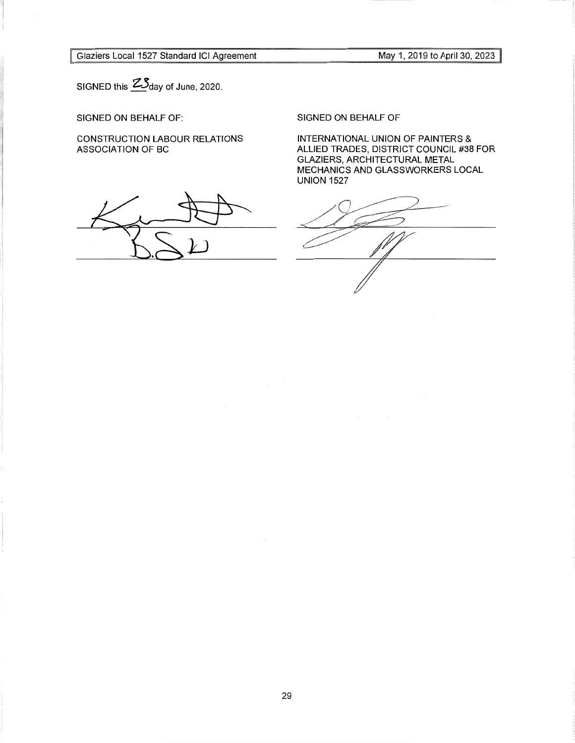Glaziers Local 1527 Standard ICI Agreement

May 1, 2019 to April 30, 2023

SIGNED this  $2\Im$  day of June, 2020.

SIGNED ON BEHALF OF:

CONSTRUCTION LABOUR RELATIONS ASSOCIATION OF BC

SIGNED ON BEHALF OF

INTERNATIONAL UNION OF PAINTERS & ALLIED TRADES, DISTRICT COUNCIL #38 FOR GLAZIERS, ARCHITECTURAL METAL MECHANICS AND GLASSWORKERS LOCAL UNION 1527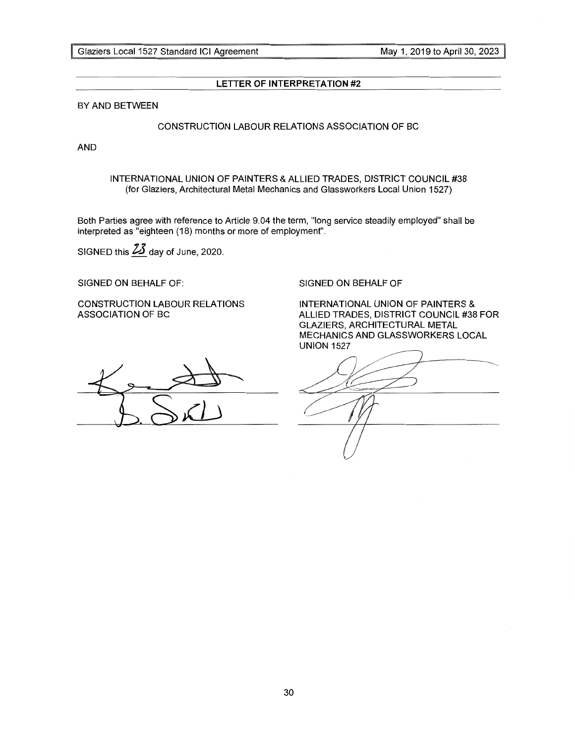## **LETTER OF INTERPRETATION #2**

BY AND BETWEEN

## CONSTRUCTION LABOUR RELATIONS ASSOCIATION OF BC

AND

INTERNATIONAL UNION OF PAINTERS & ALLIED TRADES, DISTRICT COUNCIL #38 (for Glaziers, Architectural Metal Mechanics and Glassworkers Local Union 1527)

Both Parties agree with reference to Article 9.04 the term, "long service steadily employed" shall be interpreted as "eighteen (18) months or more of employment".

SIGNED this  $\frac{23}{1}$  day of June, 2020.

SIGNED ON BEHALF OF:

CONSTRUCTION LABOUR RELATIONS ASSOCIATION OF BC

## SIGNED ON BEHALF OF

INTERNATIONAL UNION OF PAINTERS & ALLIED TRADES, DISTRICT COUNCIL #38 FOR GLAZIERS, ARCHITECTURAL METAL MECHANICS AND GLASSWORKERS LOCAL UNION 1527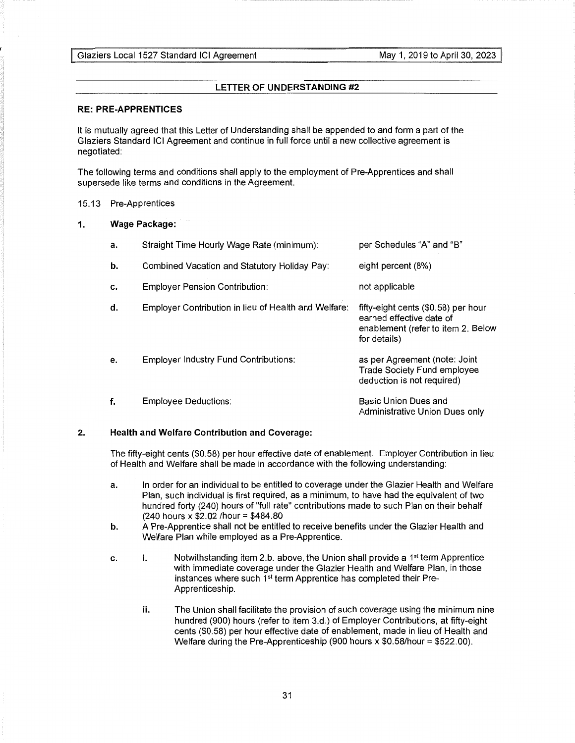## **LETTER OF UNDERSTANDING #2**

## **RE: PRE-APPRENTICES**

It is mutually agreed that this Letter of Understanding shall be appended to and form a part of the Glaziers Standard ICI Agreement and continue in full force until a new collective agreement is negotiated:

The following terms and conditions shall apply to the employment of Pre-Apprentices and shall supersede like terms and conditions in the Agreement.

## 15.13 Pre-Apprentices

## **1. Wage Package:**

| a. | Straight Time Hourly Wage Rate (minimum):            | per Schedules "A" and "B"                                                                                             |
|----|------------------------------------------------------|-----------------------------------------------------------------------------------------------------------------------|
| b. | Combined Vacation and Statutory Holiday Pay:         | eight percent (8%)                                                                                                    |
| c. | <b>Employer Pension Contribution:</b>                | not applicable                                                                                                        |
| d. | Employer Contribution in lieu of Health and Welfare: | fifty-eight cents (\$0.58) per hour<br>earned effective date of<br>enablement (refer to item 2. Below<br>for details) |
| e. | <b>Employer Industry Fund Contributions:</b>         | as per Agreement (note: Joint<br><b>Trade Society Fund employee</b><br>deduction is not required)                     |
| f. | <b>Employee Deductions:</b>                          | Basic Union Dues and<br>Administrative Union Dues only                                                                |

## **2. Health and Welfare Contribution and Coverage:**

The fifty-eight cents (\$0.58) per hour effective date of enablement. Employer Contribution in lieu of Health and Welfare shall be made in accordance with the following understanding:

- a. In order for an individual to be entitled to coverage under the Glazier Health and Welfare Plan, such individual is first required, as a minimum, to have had the equivalent of two hundred forty (240) hours of "full rate" contributions made to such Plan on their behalf  $(240$  hours x \$2.02 / hour = \$484.80
- **b.** A Pre-Apprentice shall not be entitled to receive benefits under the Glazier Health and Welfare Plan while employed as a Pre-Apprentice.
- c. **i.** Notwithstanding item 2.b. above, the Union shall provide a 1st term Apprentice with immediate coverage under the Glazier Health and Welfare Plan, in those instances where such  $1<sup>st</sup>$  term Apprentice has completed their Pre-Apprenticeship.
	- **ii.** The Union shall facilitate the provision of such coverage using the minimum nine hundred (900) hours (refer to item 3.d.) of Employer Contributions, at fifty-eight cents (\$0.58) per hour effective date of enablement, made in lieu of Health and Welfare during the Pre-Apprenticeship (900 hours x \$0.58/hour = \$522.00).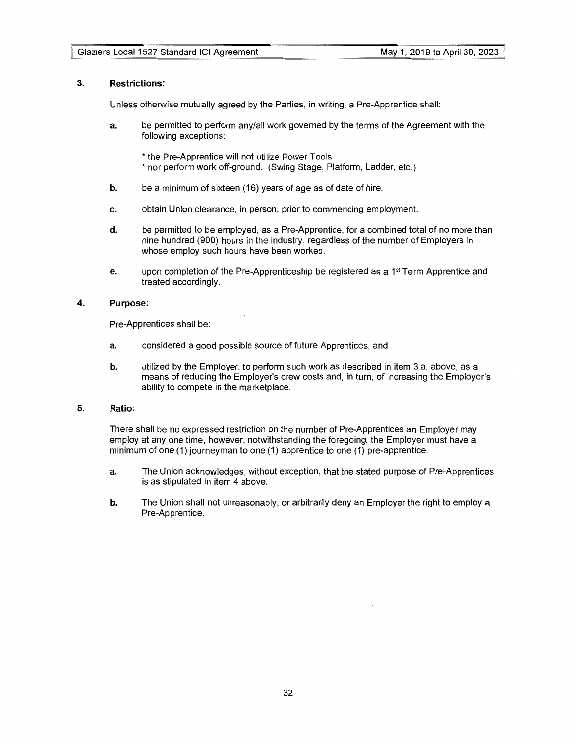## **3. Restrictions:**

Unless otherwise mutually agreed by the Parties, in writing, a Pre-Apprentice shall:

- **a.** be permitted to perform any/all work governed by the terms of the Agreement with the following exceptions:
	- \*the Pre-Apprentice will not utilize Power Tools
	- \*nor perform work off-ground. (Swing Stage, Platform, Ladder, etc.)
- **b.** be a minimum of sixteen (16) years of age as of date of hire.
- c. obtain Union clearance, in person, prior to commencing employment.
- **d.** be permitted to be employed, as a Pre-Apprentice, for a combined total of no more than nine hundred (900) hours in the industry, regardless of the number of Employers in whose employ such hours have been worked.
- e. upon completion of the Pre-Apprenticeship be registered as a  $1<sup>st</sup>$  Term Apprentice and treated accordingly.

## **4. Purpose:**

Pre-Apprentices shall be:

- a. considered a good possible source of future Apprentices, and
- **b.** utilized by the Employer, to perform such work as described in item 3.a. above, as a means of reducing the Employer's crew costs and, in turn, of increasing the Employer's ability to compete in the marketplace.

## **5. Ratio:**

There shall be no expressed restriction on the number of Pre-Apprentices an Employer may employ at any one time, however, notwithstanding the foregoing, the Employer must have a minimum of one (1) journeyman to one (1) apprentice to one (1) pre-apprentice.

- a. The Union acknowledges, without exception, that the stated purpose of Pre-Apprentices is as stipulated in item 4 above.
- **b.** The Union shall not unreasonably, or arbitrarily deny an Employer the right to employ a Pre-Apprentice.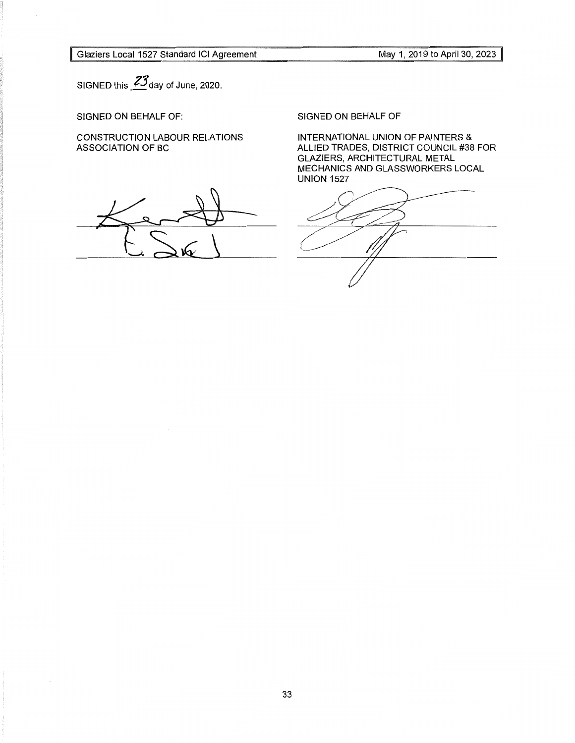<sup>~</sup>Glaziers Local 1527 Standard ICI Agreement

May 1, 2019 to April 30, 2023 <sup>~</sup>

SIGNED this *?3* day of June, 2020.

SIGNED ON BEHALF OF:

CONSTRUCTION LABOUR RELATIONS ASSOCIATION OF BC

SIGNED ON BEHALF OF

INTERNATIONAL UNION OF PAINTERS & ALLIED TRADES, DISTRICT COUNCIL #38 FOR GLAZIERS, ARCHITECTURAL METAL MECHANICS AND GLASSWORKERS LOCAL UNION 1527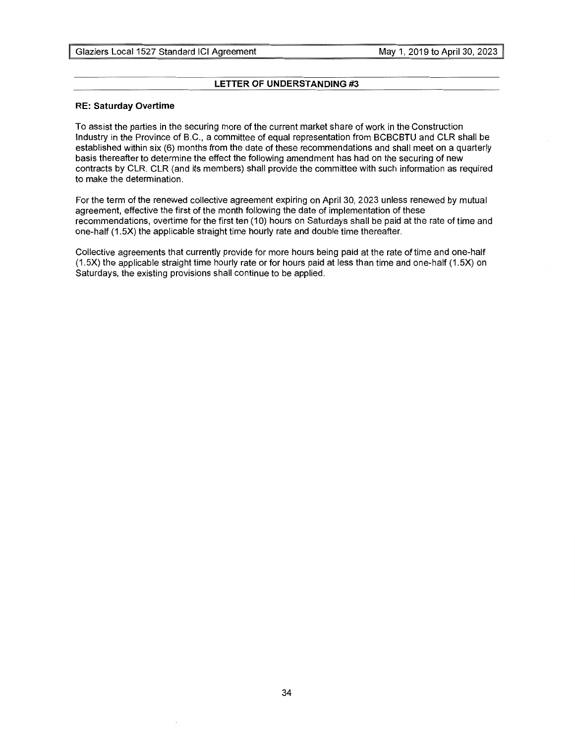## **LETTER OF UNDERSTANDING #3**

## **RE: Saturday Overtime**

To assist the parties in the securing more of the current market share of work in the Construction Industry in the Province of B.C., a committee of equal representation from BCBCBTU and CLR shall be established within six (6) months from the date of these recommendations and shall meet on a quarterly basis thereafter to determine the effect the following amendment has had on the securing of new contracts by CLR. CLR (and its members) shall provide the committee with such information as required to make the determination.

For the term of the renewed collective agreement expiring on April 30, 2023 unless renewed by mutual agreement, effective the first of the month following the date of implementation of these recommendations, overtime for the first ten (10) hours on Saturdays shall be paid at the rate of time and one-half (1.5X) the applicable straight time hourly rate and double time thereafter.

Collective agreements that currently provide for more hours being paid at the rate of time and one-half (1.5X) the applicable straight time hourly rate or for hours paid at less than time and one-half (1.5X) on Saturdays, the existing provisions shall continue to be applied.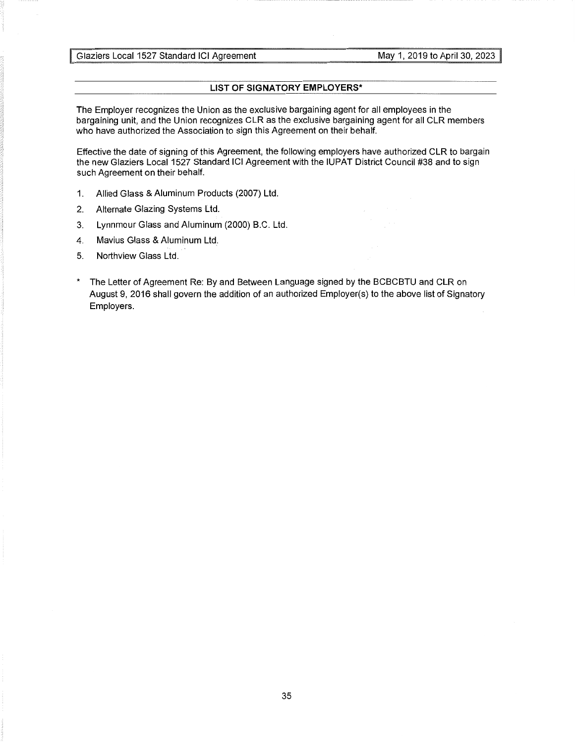## **LIST OF SIGNATORY EMPLOYERS\***

The Employer recognizes the Union as the exclusive bargaining agent for all employees in the bargaining unit, and the Union recognizes CLR as the exclusive bargaining agent for all CLR members who have authorized the Association to sign this Agreement on their behalf.

Effective the date of signing of this Agreement, the following employers have authorized CLR to bargain the new Glaziers Local 1527 Standard ICI Agreement with the IUPAT District Council #38 and to sign such Agreement on their behalf.

- 1. Allied Glass & Aluminum Products (2007) Ltd.
- 2. Alternate Glazing Systems Ltd.
- 3. Lynnmour Glass and Aluminum (2000) B.C. Ltd.
- 4. Mavius Glass & Aluminum Ltd.
- 5. Northview Glass Ltd.
- \* The Letter of Agreement Re: By and Between Language signed by the BCBCBTU and CLR on August 9, 2016 shall govern the addition of an authorized Employer(s) to the above list of Signatory Employers.